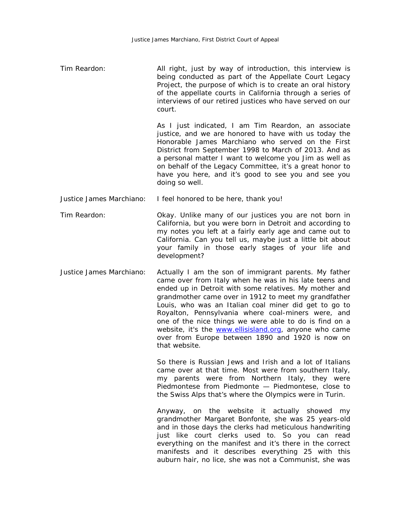Tim Reardon: All right, just by way of introduction, this interview is being conducted as part of the Appellate Court Legacy Project, the purpose of which is to create an oral history of the appellate courts in California through a series of interviews of our retired justices who have served on our court.

> As I just indicated, I am Tim Reardon, an associate justice, and we are honored to have with us today the Honorable James Marchiano who served on the First District from September 1998 to March of 2013. And as a personal matter I want to welcome you Jim as well as on behalf of the Legacy Committee, it's a great honor to have you here, and it's good to see you and see you doing so well.

- Justice James Marchiano: I feel honored to be here, thank you!
- Tim Reardon: Okay. Unlike many of our justices you are not born in California, but you were born in Detroit and according to my notes you left at a fairly early age and came out to California. Can you tell us, maybe just a little bit about your family in those early stages of your life and development?
- Justice James Marchiano: Actually I am the son of immigrant parents. My father came over from Italy when he was in his late teens and ended up in Detroit with some relatives. My mother and grandmother came over in 1912 to meet my grandfather Louis, who was an Italian coal miner did get to go to Royalton, Pennsylvania where coal-miners were, and one of the nice things we were able to do is find on a website, it's the [www.ellisisland.org,](http://www.ellisisland.org/) anyone who came over from Europe between 1890 and 1920 is now on that website.

So there is Russian Jews and Irish and a lot of Italians came over at that time. Most were from southern Italy, my parents were from Northern Italy, they were Piedmontese from Piedmonte — Piedmontese, close to the Swiss Alps that's where the Olympics were in Turin.

Anyway, on the website it actually showed my grandmother Margaret Bonfonte, she was 25 years-old and in those days the clerks had meticulous handwriting just like court clerks used to. So you can read everything on the manifest and it's there in the correct manifests and it describes everything 25 with this auburn hair, no lice, she was not a Communist, she was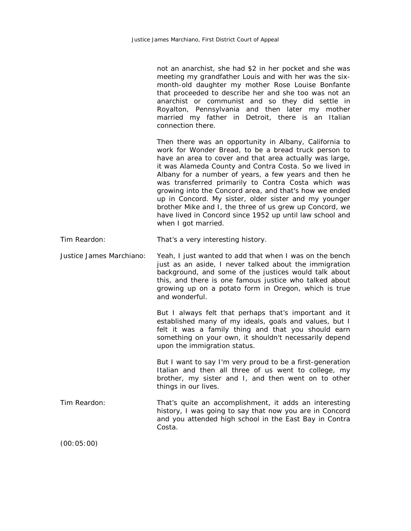not an anarchist, she had \$2 in her pocket and she was meeting my grandfather Louis and with her was the sixmonth-old daughter my mother Rose Louise Bonfante that proceeded to describe her and she too was not an anarchist or communist and so they did settle in Royalton, Pennsylvania and then later my mother married my father in Detroit, there is an Italian connection there.

Then there was an opportunity in Albany, California to work for Wonder Bread, to be a bread truck person to have an area to cover and that area actually was large, it was Alameda County and Contra Costa. So we lived in Albany for a number of years, a few years and then he was transferred primarily to Contra Costa which was growing into the Concord area, and that's how we ended up in Concord. My sister, older sister and my younger brother Mike and I, the three of us grew up Concord, we have lived in Concord since 1952 up until law school and when I got married.

Tim Reardon: That's a very interesting history.

Justice James Marchiano: Yeah, I just wanted to add that when I was on the bench just as an aside, I never talked about the immigration background, and some of the justices would talk about this, and there is one famous justice who talked about growing up on a potato form in Oregon, which is true and wonderful.

> But I always felt that perhaps that's important and it established many of my ideals, goals and values, but I felt it was a family thing and that you should earn something on your own, it shouldn't necessarily depend upon the immigration status.

> But I want to say I'm very proud to be a first-generation Italian and then all three of us went to college, my brother, my sister and I, and then went on to other things in our lives.

Tim Reardon: That's quite an accomplishment, it adds an interesting history, I was going to say that now you are in Concord and you attended high school in the East Bay in Contra Costa.

(00:05:00)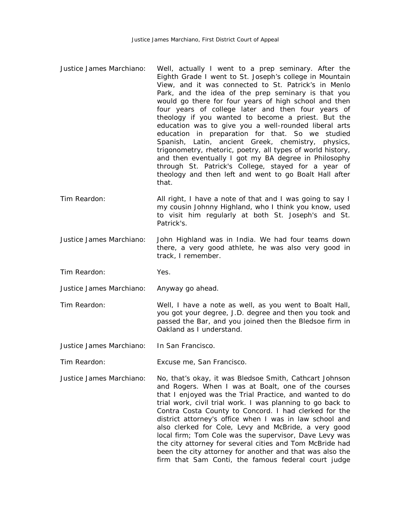- Justice James Marchiano: Well, actually I went to a prep seminary. After the Eighth Grade I went to St. Joseph's college in Mountain View, and it was connected to St. Patrick's in Menlo Park, and the idea of the prep seminary is that you would go there for four years of high school and then four years of college later and then four years of theology if you wanted to become a priest. But the education was to give you a well-rounded liberal arts education in preparation for that. So we studied Spanish, Latin, ancient Greek, chemistry, physics, trigonometry, rhetoric, poetry, all types of world history, and then eventually I got my BA degree in Philosophy through St. Patrick's College, stayed for a year of theology and then left and went to go Boalt Hall after that.
- Tim Reardon: All right, I have a note of that and I was going to say I my cousin Johnny Highland, who I think you know, used to visit him regularly at both St. Joseph's and St. Patrick's.
- Justice James Marchiano: John Highland was in India. We had four teams down there, a very good athlete, he was also very good in track, I remember.
- Tim Reardon: Yes.
- Justice James Marchiano: Anyway go ahead.
- Tim Reardon: Well, I have a note as well, as you went to Boalt Hall, you got your degree, J.D. degree and then you took and passed the Bar, and you joined then the Bledsoe firm in Oakland as I understand.

Justice James Marchiano: In San Francisco.

Tim Reardon: Excuse me, San Francisco.

Justice James Marchiano: No, that's okay, it was Bledsoe Smith, Cathcart Johnson and Rogers. When I was at Boalt, one of the courses that I enjoyed was the Trial Practice, and wanted to do trial work, civil trial work. I was planning to go back to Contra Costa County to Concord. I had clerked for the district attorney's office when I was in law school and also clerked for Cole, Levy and McBride, a very good local firm; Tom Cole was the supervisor, Dave Levy was the city attorney for several cities and Tom McBride had been the city attorney for another and that was also the firm that Sam Conti, the famous federal court judge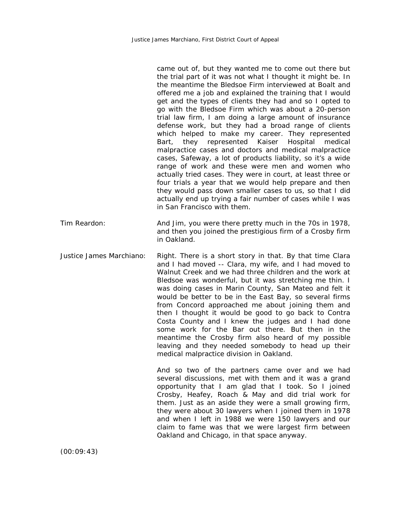|                          | came out of, but they wanted me to come out there but<br>the trial part of it was not what I thought it might be. In<br>the meantime the Bledsoe Firm interviewed at Boalt and<br>offered me a job and explained the training that I would<br>get and the types of clients they had and so I opted to<br>go with the Bledsoe Firm which was about a 20-person<br>trial law firm, I am doing a large amount of insurance<br>defense work, but they had a broad range of clients<br>which helped to make my career. They represented<br>represented Kaiser<br>Hospital<br>they<br>medical<br>Bart,<br>malpractice cases and doctors and medical malpractice<br>cases, Safeway, a lot of products liability, so it's a wide<br>range of work and these were men and women who<br>actually tried cases. They were in court, at least three or<br>four trials a year that we would help prepare and then<br>they would pass down smaller cases to us, so that I did<br>actually end up trying a fair number of cases while I was<br>in San Francisco with them. |
|--------------------------|------------------------------------------------------------------------------------------------------------------------------------------------------------------------------------------------------------------------------------------------------------------------------------------------------------------------------------------------------------------------------------------------------------------------------------------------------------------------------------------------------------------------------------------------------------------------------------------------------------------------------------------------------------------------------------------------------------------------------------------------------------------------------------------------------------------------------------------------------------------------------------------------------------------------------------------------------------------------------------------------------------------------------------------------------------|
| Tim Reardon:             | And Jim, you were there pretty much in the 70s in 1978,<br>and then you joined the prestigious firm of a Crosby firm<br>in Oakland.                                                                                                                                                                                                                                                                                                                                                                                                                                                                                                                                                                                                                                                                                                                                                                                                                                                                                                                        |
| Justice James Marchiano: | Right. There is a short story in that. By that time Clara<br>and I had moved -- Clara, my wife, and I had moved to<br>Walnut Creek and we had three children and the work at<br>Bledsoe was wonderful, but it was stretching me thin. I<br>was doing cases in Marin County, San Mateo and felt it<br>would be better to be in the East Bay, so several firms<br>from Concord approached me about joining them and<br>then I thought it would be good to go back to Contra<br>Costa County and I knew the judges and I had done<br>some work for the Bar out there. But then in the<br>meantime the Crosby firm also heard of my possible<br>leaving and they needed somebody to head up their<br>medical malpractice division in Oakland.                                                                                                                                                                                                                                                                                                                  |
|                          | And so two of the partners came over and we had<br>several discussions, met with them and it was a grand<br>opportunity that I am glad that I took. So I joined<br>Crosby, Heafey, Roach & May and did trial work for<br>them. Just as an aside they were a small growing firm,<br>they were about 30 lawyers when I joined them in 1978<br>and when I left in 1988 we were 150 lawyers and our<br>claim to fame was that we were largest firm between<br>Oakland and Chicago, in that space anyway.                                                                                                                                                                                                                                                                                                                                                                                                                                                                                                                                                       |

(00:09:43)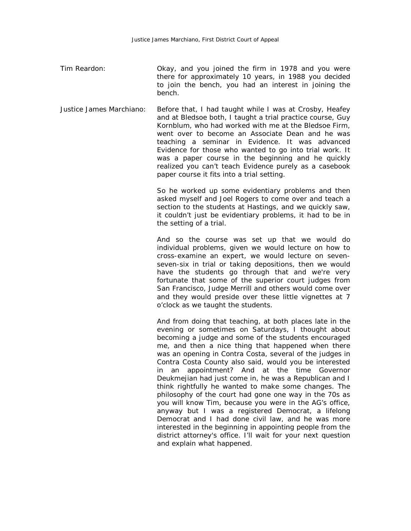- Tim Reardon: Okay, and you joined the firm in 1978 and you were there for approximately 10 years, in 1988 you decided to join the bench, you had an interest in joining the bench.
- Justice James Marchiano: Before that, I had taught while I was at Crosby, Heafey and at Bledsoe both, I taught a trial practice course, Guy Kornblum, who had worked with me at the Bledsoe Firm, went over to become an Associate Dean and he was teaching a seminar in Evidence. It was advanced Evidence for those who wanted to go into trial work. It was a paper course in the beginning and he quickly realized you can't teach Evidence purely as a casebook paper course it fits into a trial setting.

So he worked up some evidentiary problems and then asked myself and Joel Rogers to come over and teach a section to the students at Hastings, and we quickly saw, it couldn't just be evidentiary problems, it had to be in the setting of a trial.

And so the course was set up that we would do individual problems, given we would lecture on how to cross-examine an expert, we would lecture on sevenseven-six in trial or taking depositions, then we would have the students go through that and we're very fortunate that some of the superior court judges from San Francisco, Judge Merrill and others would come over and they would preside over these little vignettes at 7 o'clock as we taught the students.

And from doing that teaching, at both places late in the evening or sometimes on Saturdays, I thought about becoming a judge and some of the students encouraged me, and then a nice thing that happened when there was an opening in Contra Costa, several of the judges in Contra Costa County also said, would you be interested in an appointment? And at the time Governor Deukmejian had just come in, he was a Republican and I think rightfully he wanted to make some changes. The philosophy of the court had gone one way in the 70s as you will know Tim, because you were in the AG's office, anyway but I was a registered Democrat, a lifelong Democrat and I had done civil law, and he was more interested in the beginning in appointing people from the district attorney's office. I'll wait for your next question and explain what happened.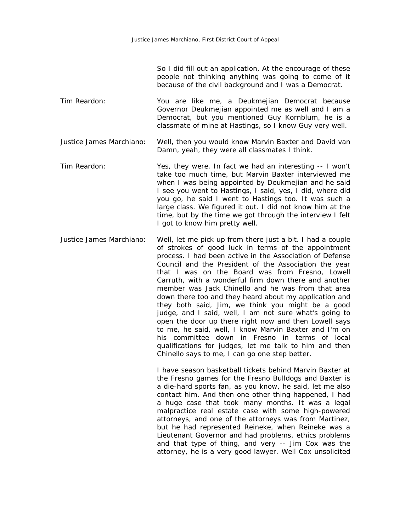So I did fill out an application, At the encourage of these people not thinking anything was going to come of it because of the civil background and I was a Democrat.

Tim Reardon: You are like me, a Deukmejian Democrat because Governor Deukmejian appointed me as well and I am a Democrat, but you mentioned Guy Kornblum, he is a classmate of mine at Hastings, so I know Guy very well.

Justice James Marchiano: Well, then you would know Marvin Baxter and David van Damn, yeah, they were all classmates I think.

- Tim Reardon: Yes, they were. In fact we had an interesting -- I won't take too much time, but Marvin Baxter interviewed me when I was being appointed by Deukmejian and he said I see you went to Hastings, I said, yes, I did, where did you go, he said I went to Hastings too. It was such a large class. We figured it out. I did not know him at the time, but by the time we got through the interview I felt I got to know him pretty well.
- Justice James Marchiano: Well, let me pick up from there just a bit. I had a couple of strokes of good luck in terms of the appointment process. I had been active in the Association of Defense Council and the President of the Association the year that I was on the Board was from Fresno, Lowell Carruth, with a wonderful firm down there and another member was Jack Chinello and he was from that area down there too and they heard about my application and they both said, Jim, we think you might be a good judge, and I said, well, I am not sure what's going to open the door up there right now and then Lowell says to me, he said, well, I know Marvin Baxter and I'm on his committee down in Fresno in terms of local qualifications for judges, let me talk to him and then Chinello says to me, I can go one step better.

I have season basketball tickets behind Marvin Baxter at the Fresno games for the Fresno Bulldogs and Baxter is a die-hard sports fan, as you know, he said, let me also contact him. And then one other thing happened, I had a huge case that took many months. It was a legal malpractice real estate case with some high-powered attorneys, and one of the attorneys was from Martinez, but he had represented Reineke, when Reineke was a Lieutenant Governor and had problems, ethics problems and that type of thing, and very -- Jim Cox was the attorney, he is a very good lawyer. Well Cox unsolicited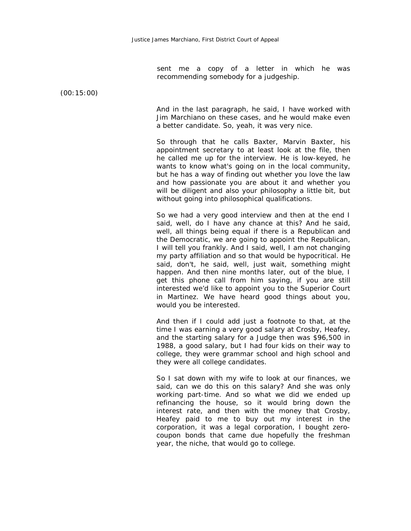sent me a copy of a letter in which he was recommending somebody for a judgeship.

(00:15:00)

And in the last paragraph, he said, I have worked with Jim Marchiano on these cases, and he would make even a better candidate. So, yeah, it was very nice.

So through that he calls Baxter, Marvin Baxter, his appointment secretary to at least look at the file, then he called me up for the interview. He is low-keyed, he wants to know what's going on in the local community, but he has a way of finding out whether you love the law and how passionate you are about it and whether you will be diligent and also your philosophy a little bit, but without going into philosophical qualifications.

So we had a very good interview and then at the end I said, well, do I have any chance at this? And he said, well, all things being equal if there is a Republican and the Democratic, we are going to appoint the Republican, I will tell you frankly. And I said, well, I am not changing my party affiliation and so that would be hypocritical. He said, don't, he said, well, just wait, something might happen. And then nine months later, out of the blue, I get this phone call from him saying, if you are still interested we'd like to appoint you to the Superior Court in Martinez. We have heard good things about you, would you be interested.

And then if I could add just a footnote to that, at the time I was earning a very good salary at Crosby, Heafey, and the starting salary for a Judge then was \$96,500 in 1988, a good salary, but I had four kids on their way to college, they were grammar school and high school and they were all college candidates.

So I sat down with my wife to look at our finances, we said, can we do this on this salary? And she was only working part-time. And so what we did we ended up refinancing the house, so it would bring down the interest rate, and then with the money that Crosby, Heafey paid to me to buy out my interest in the corporation, it was a legal corporation, I bought zerocoupon bonds that came due hopefully the freshman year, the niche, that would go to college.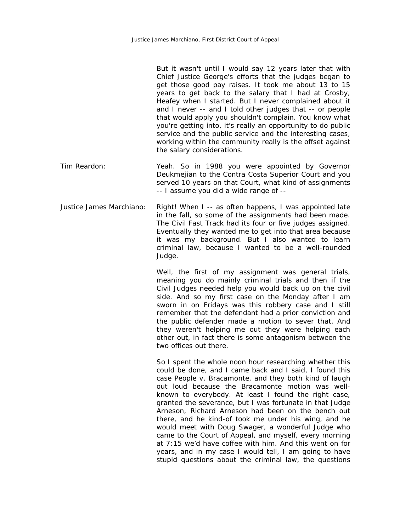|              | But it wasn't until I would say 12 years later that with<br>Chief Justice George's efforts that the judges began to<br>get those good pay raises. It took me about 13 to 15<br>years to get back to the salary that I had at Crosby,<br>Heafey when I started. But I never complained about it<br>and I never -- and I told other judges that -- or people<br>that would apply you shouldn't complain. You know what<br>you're getting into, it's really an opportunity to do public<br>service and the public service and the interesting cases,<br>working within the community really is the offset against<br>the salary considerations. |
|--------------|----------------------------------------------------------------------------------------------------------------------------------------------------------------------------------------------------------------------------------------------------------------------------------------------------------------------------------------------------------------------------------------------------------------------------------------------------------------------------------------------------------------------------------------------------------------------------------------------------------------------------------------------|
| Tim Reardon: | Yeah. So in 1988 you were appointed by Governor<br>Deukmejian to the Contra Costa Superior Court and you<br>served 10 years on that Court, what kind of assignments                                                                                                                                                                                                                                                                                                                                                                                                                                                                          |

-- I assume you did a wide range of --

Justice James Marchiano: Right! When I -- as often happens, I was appointed late in the fall, so some of the assignments had been made. The Civil Fast Track had its four or five judges assigned. Eventually they wanted me to get into that area because it was my background. But I also wanted to learn criminal law, because I wanted to be a well-rounded Judge.

> Well, the first of my assignment was general trials, meaning you do mainly criminal trials and then if the Civil Judges needed help you would back up on the civil side. And so my first case on the Monday after I am sworn in on Fridays was this robbery case and I still remember that the defendant had a prior conviction and the public defender made a motion to sever that. And they weren't helping me out they were helping each other out, in fact there is some antagonism between the two offices out there.

> So I spent the whole noon hour researching whether this could be done, and I came back and I said, I found this case People v. Bracamonte, and they both kind of laugh out loud because the Bracamonte motion was wellknown to everybody. At least I found the right case, granted the severance, but I was fortunate in that Judge Arneson, Richard Arneson had been on the bench out there, and he kind-of took me under his wing, and he would meet with Doug Swager, a wonderful Judge who came to the Court of Appeal, and myself, every morning at 7:15 we'd have coffee with him. And this went on for years, and in my case I would tell, I am going to have stupid questions about the criminal law, the questions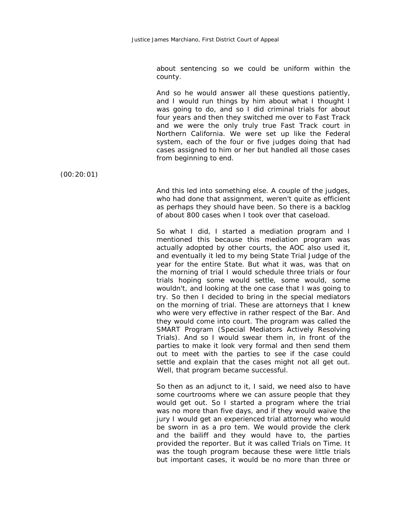about sentencing so we could be uniform within the county.

And so he would answer all these questions patiently, and I would run things by him about what I thought I was going to do, and so I did criminal trials for about four years and then they switched me over to Fast Track and we were the only truly true Fast Track court in Northern California. We were set up like the Federal system, each of the four or five judges doing that had cases assigned to him or her but handled all those cases from beginning to end.

(00:20:01)

And this led into something else. A couple of the judges, who had done that assignment, weren't quite as efficient as perhaps they should have been. So there is a backlog of about 800 cases when I took over that caseload.

So what I did, I started a mediation program and I mentioned this because this mediation program was actually adopted by other courts, the AOC also used it, and eventually it led to my being State Trial Judge of the year for the entire State. But what it was, was that on the morning of trial I would schedule three trials or four trials hoping some would settle, some would, some wouldn't, and looking at the one case that I was going to try. So then I decided to bring in the special mediators on the morning of trial. These are attorneys that I knew who were very effective in rather respect of the Bar. And they would come into court. The program was called the SMART Program (Special Mediators Actively Resolving Trials). And so I would swear them in, in front of the parties to make it look very formal and then send them out to meet with the parties to see if the case could settle and explain that the cases might not all get out. Well, that program became successful.

So then as an adjunct to it, I said, we need also to have some courtrooms where we can assure people that they would get out. So I started a program where the trial was no more than five days, and if they would waive the jury I would get an experienced trial attorney who would be sworn in as a pro tem. We would provide the clerk and the bailiff and they would have to, the parties provided the reporter. But it was called Trials on Time. It was the tough program because these were little trials but important cases, it would be no more than three or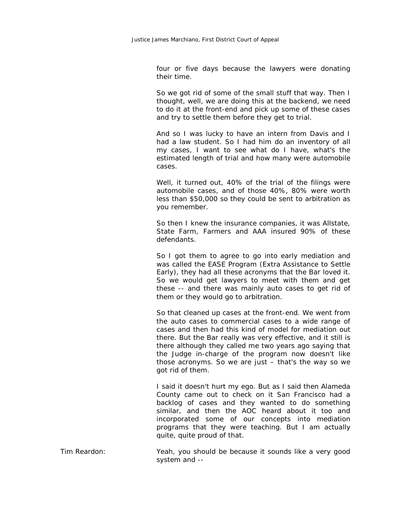four or five days because the lawyers were donating their time.

So we got rid of some of the small stuff that way. Then I thought, well, we are doing this at the backend, we need to do it at the front-end and pick up some of these cases and try to settle them before they get to trial.

And so I was lucky to have an intern from Davis and I had a law student. So I had him do an inventory of all my cases, I want to see what do I have, what's the estimated length of trial and how many were automobile cases.

Well, it turned out, 40% of the trial of the filings were automobile cases, and of those 40%, 80% were worth less than \$50,000 so they could be sent to arbitration as you remember.

So then I knew the insurance companies, it was Allstate, State Farm, Farmers and AAA insured 90% of these defendants.

So I got them to agree to go into early mediation and was called the EASE Program (Extra Assistance to Settle Early), they had all these acronyms that the Bar loved it. So we would get lawyers to meet with them and get these -- and there was mainly auto cases to get rid of them or they would go to arbitration.

So that cleaned up cases at the front-end. We went from the auto cases to commercial cases to a wide range of cases and then had this kind of model for mediation out there. But the Bar really was very effective, and it still is there although they called me two years ago saying that the Judge in-charge of the program now doesn't like those acronyms. So we are just – that's the way so we got rid of them.

I said it doesn't hurt my ego. But as I said then Alameda County came out to check on it San Francisco had a backlog of cases and they wanted to do something similar, and then the AOC heard about it too and incorporated some of our concepts into mediation programs that they were teaching. But I am actually quite, quite proud of that.

Tim Reardon: Yeah, you should be because it sounds like a very good system and --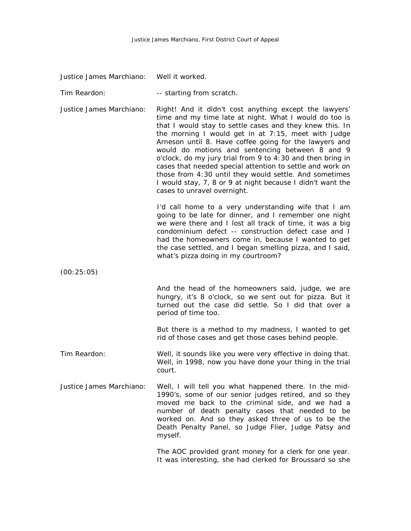Justice James Marchiano: Well it worked.

Tim Reardon: Tim Reardon: Tim Reardon:

Justice James Marchiano: Right! And it didn't cost anything except the lawyers' time and my time late at night. What I would do too is that I would stay to settle cases and they knew this. In the morning I would get in at 7:15, meet with Judge Arneson until 8. Have coffee going for the lawyers and would do motions and sentencing between 8 and 9 o'clock, do my jury trial from 9 to 4:30 and then bring in cases that needed special attention to settle and work on those from 4:30 until they would settle. And sometimes I would stay, 7, 8 or 9 at night because I didn't want the cases to unravel overnight.

> I'd call home to a very understanding wife that I am going to be late for dinner, and I remember one night we were there and I lost all track of time, it was a big condominium defect -- construction defect case and I had the homeowners come in, because I wanted to get the case settled, and I began smelling pizza, and I said, what's pizza doing in my courtroom?

(00:25:05)

And the head of the homeowners said, judge, we are hungry, it's 8 o'clock, so we sent out for pizza. But it turned out the case did settle. So I did that over a period of time too.

But there is a method to my madness, I wanted to get rid of those cases and get those cases behind people.

- Tim Reardon: Well, it sounds like you were very effective in doing that. Well, in 1998, now you have done your thing in the trial court.
- Justice James Marchiano: Well, I will tell you what happened there. In the mid-1990's, some of our senior judges retired, and so they moved me back to the criminal side, and we had a number of death penalty cases that needed to be worked on. And so they asked three of us to be the Death Penalty Panel, so Judge Flier, Judge Patsy and myself.

The AOC provided grant money for a clerk for one year. It was interesting, she had clerked for Broussard so she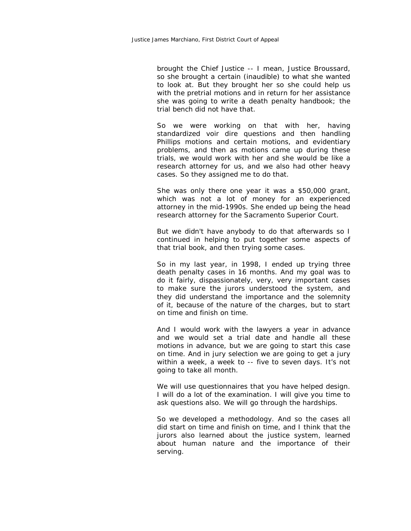brought the Chief Justice -- I mean, Justice Broussard, so she brought a certain (inaudible) to what she wanted to look at. But they brought her so she could help us with the pretrial motions and in return for her assistance she was going to write a death penalty handbook; the trial bench did not have that.

So we were working on that with her, having standardized voir dire questions and then handling Phillips motions and certain motions, and evidentiary problems, and then as motions came up during these trials, we would work with her and she would be like a research attorney for us, and we also had other heavy cases. So they assigned me to do that.

She was only there one year it was a \$50,000 grant, which was not a lot of money for an experienced attorney in the mid-1990s. She ended up being the head research attorney for the Sacramento Superior Court.

But we didn't have anybody to do that afterwards so I continued in helping to put together some aspects of that trial book, and then trying some cases.

So in my last year, in 1998, I ended up trying three death penalty cases in 16 months. And my goal was to do it fairly, dispassionately, very, very important cases to make sure the jurors understood the system, and they did understand the importance and the solemnity of it, because of the nature of the charges, but to start on time and finish on time.

And I would work with the lawyers a year in advance and we would set a trial date and handle all these motions in advance, but we are going to start this case on time. And in jury selection we are going to get a jury within a week, a week to -- five to seven days. It's not going to take all month.

We will use questionnaires that you have helped design. I will do a lot of the examination. I will give you time to ask questions also. We will go through the hardships.

So we developed a methodology. And so the cases all did start on time and finish on time, and I think that the jurors also learned about the justice system, learned about human nature and the importance of their serving.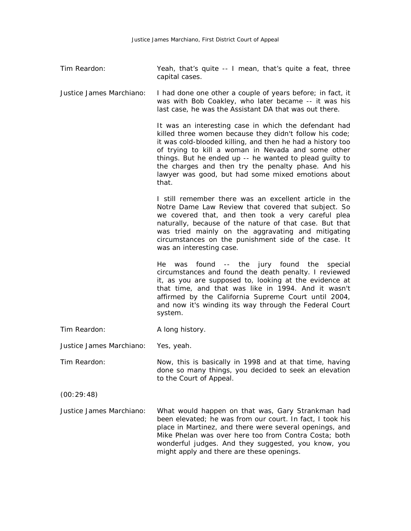Tim Reardon: Yeah, that's quite -- I mean, that's quite a feat, three capital cases.

Justice James Marchiano: I had done one other a couple of years before; in fact, it was with Bob Coakley, who later became -- it was his last case, he was the Assistant DA that was out there.

> It was an interesting case in which the defendant had killed three women because they didn't follow his code; it was cold-blooded killing, and then he had a history too of trying to kill a woman in Nevada and some other things. But he ended up -- he wanted to plead guilty to the charges and then try the penalty phase. And his lawyer was good, but had some mixed emotions about that.

> I still remember there was an excellent article in the Notre Dame Law Review that covered that subject. So we covered that, and then took a very careful plea naturally, because of the nature of that case. But that was tried mainly on the aggravating and mitigating circumstances on the punishment side of the case. It was an interesting case.

> He was found -- the jury found the special circumstances and found the death penalty. I reviewed it, as you are supposed to, looking at the evidence at that time, and that was like in 1994. And it wasn't affirmed by the California Supreme Court until 2004, and now it's winding its way through the Federal Court system.

| Tim Reardon: | A long history. |
|--------------|-----------------|
|--------------|-----------------|

Justice James Marchiano: Yes, yeah.

Tim Reardon: Now, this is basically in 1998 and at that time, having done so many things, you decided to seek an elevation to the Court of Appeal.

(00:29:48)

Justice James Marchiano: What would happen on that was, Gary Strankman had been elevated; he was from our court. In fact, I took his place in Martinez, and there were several openings, and Mike Phelan was over here too from Contra Costa; both wonderful judges. And they suggested, you know, you might apply and there are these openings.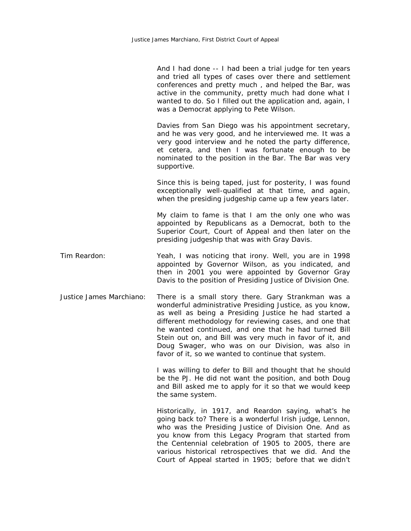And I had done -- I had been a trial judge for ten years and tried all types of cases over there and settlement conferences and pretty much , and helped the Bar, was active in the community, pretty much had done what I wanted to do. So I filled out the application and, again, I was a Democrat applying to Pete Wilson.

Davies from San Diego was his appointment secretary, and he was very good, and he interviewed me. It was a very good interview and he noted the party difference, et cetera, and then I was fortunate enough to be nominated to the position in the Bar. The Bar was very supportive.

Since this is being taped, just for posterity, I was found exceptionally well-qualified at that time, and again, when the presiding judgeship came up a few years later.

My claim to fame is that I am the only one who was appointed by Republicans as a Democrat, both to the Superior Court, Court of Appeal and then later on the presiding judgeship that was with Gray Davis.

Tim Reardon: Yeah, I was noticing that irony. Well, you are in 1998 appointed by Governor Wilson, as you indicated, and then in 2001 you were appointed by Governor Gray Davis to the position of Presiding Justice of Division One.

Justice James Marchiano: There is a small story there. Gary Strankman was a wonderful administrative Presiding Justice, as you know, as well as being a Presiding Justice he had started a different methodology for reviewing cases, and one that he wanted continued, and one that he had turned Bill Stein out on, and Bill was very much in favor of it, and Doug Swager, who was on our Division, was also in favor of it, so we wanted to continue that system.

> I was willing to defer to Bill and thought that he should be the PJ. He did not want the position, and both Doug and Bill asked me to apply for it so that we would keep the same system.

> Historically, in 1917, and Reardon saying, what's he going back to? There is a wonderful Irish judge, Lennon, who was the Presiding Justice of Division One. And as you know from this Legacy Program that started from the Centennial celebration of 1905 to 2005, there are various historical retrospectives that we did. And the Court of Appeal started in 1905; before that we didn't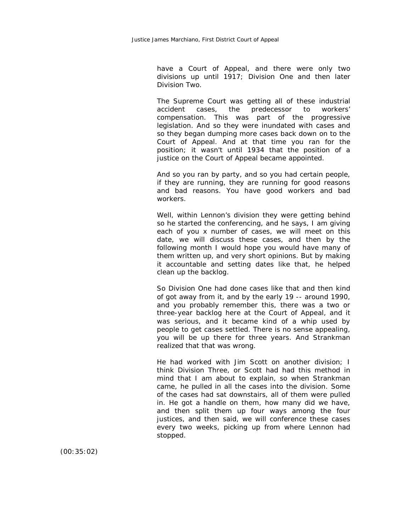have a Court of Appeal, and there were only two divisions up until 1917; Division One and then later Division Two.

The Supreme Court was getting all of these industrial accident cases, the predecessor to workers' compensation. This was part of the progressive legislation. And so they were inundated with cases and so they began dumping more cases back down on to the Court of Appeal. And at that time you ran for the position; it wasn't until 1934 that the position of a justice on the Court of Appeal became appointed.

And so you ran by party, and so you had certain people, if they are running, they are running for good reasons and bad reasons. You have good workers and bad workers.

Well, within Lennon's division they were getting behind so he started the conferencing, and he says, I am giving each of you x number of cases, we will meet on this date, we will discuss these cases, and then by the following month I would hope you would have many of them written up, and very short opinions. But by making it accountable and setting dates like that, he helped clean up the backlog.

So Division One had done cases like that and then kind of got away from it, and by the early 19 -- around 1990, and you probably remember this, there was a two or three-year backlog here at the Court of Appeal, and it was serious, and it became kind of a whip used by people to get cases settled. There is no sense appealing, you will be up there for three years. And Strankman realized that that was wrong.

He had worked with Jim Scott on another division; I think Division Three, or Scott had had this method in mind that I am about to explain, so when Strankman came, he pulled in all the cases into the division. Some of the cases had sat downstairs, all of them were pulled in. He got a handle on them, how many did we have, and then split them up four ways among the four justices, and then said, we will conference these cases every two weeks, picking up from where Lennon had stopped.

(00:35:02)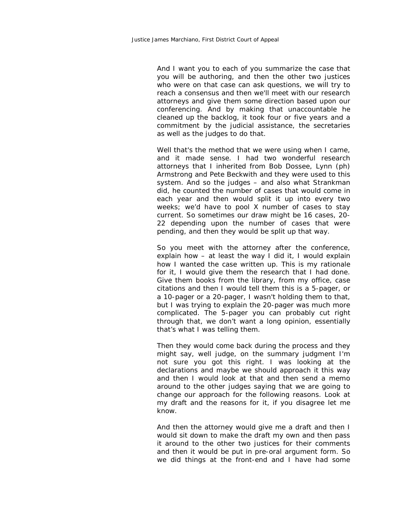And I want you to each of you summarize the case that you will be authoring, and then the other two justices who were on that case can ask questions, we will try to reach a consensus and then we'll meet with our research attorneys and give them some direction based upon our conferencing. And by making that unaccountable he cleaned up the backlog, it took four or five years and a commitment by the judicial assistance, the secretaries as well as the judges to do that.

Well that's the method that we were using when I came, and it made sense. I had two wonderful research attorneys that I inherited from Bob Dossee, Lynn (ph) Armstrong and Pete Beckwith and they were used to this system. And so the judges – and also what Strankman did, he counted the number of cases that would come in each year and then would split it up into every two weeks; we'd have to pool X number of cases to stay current. So sometimes our draw might be 16 cases, 20- 22 depending upon the number of cases that were pending, and then they would be split up that way.

So you meet with the attorney after the conference, explain how – at least the way I did it, I would explain how I wanted the case written up. This is my rationale for it, I would give them the research that I had done. Give them books from the library, from my office, case citations and then I would tell them this is a 5-pager, or a 10-pager or a 20-pager, I wasn't holding them to that, but I was trying to explain the 20-pager was much more complicated. The 5-pager you can probably cut right through that, we don't want a long opinion, essentially that's what I was telling them.

Then they would come back during the process and they might say, well judge, on the summary judgment I'm not sure you got this right. I was looking at the declarations and maybe we should approach it this way and then I would look at that and then send a memo around to the other judges saying that we are going to change our approach for the following reasons. Look at my draft and the reasons for it, if you disagree let me know.

And then the attorney would give me a draft and then I would sit down to make the draft my own and then pass it around to the other two justices for their comments and then it would be put in pre-oral argument form. So we did things at the front-end and I have had some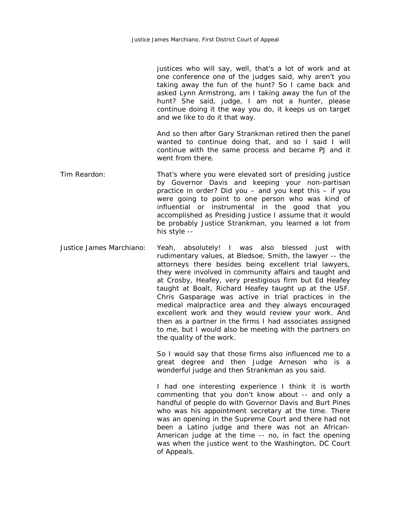| justices who will say, well, that's a lot of work and at |
|----------------------------------------------------------|
| one conference one of the judges said, why aren't you    |
| taking away the fun of the hunt? So I came back and      |
| asked Lynn Armstrong, am I taking away the fun of the    |
| hunt? She said, judge, I am not a hunter, please         |
| continue doing it the way you do, it keeps us on target  |
| and we like to do it that way.                           |

And so then after Gary Strankman retired then the panel wanted to continue doing that, and so I said I will continue with the same process and became PJ and it went from there.

- Tim Reardon: That's where you were elevated sort of presiding justice by Governor Davis and keeping your non-partisan practice in order? Did you – and you kept this – if you were going to point to one person who was kind of influential or instrumental in the good that you accomplished as Presiding Justice I assume that it would be probably Justice Strankman, you learned a lot from his style --
- Justice James Marchiano: Yeah, absolutely! I was also blessed just with rudimentary values, at Bledsoe, Smith, the lawyer -- the attorneys there besides being excellent trial lawyers, they were involved in community affairs and taught and at Crosby, Heafey, very prestigious firm but Ed Heafey taught at Boalt, Richard Heafey taught up at the USF. Chris Gasparage was active in trial practices in the medical malpractice area and they always encouraged excellent work and they would review your work. And then as a partner in the firms I had associates assigned to me, but I would also be meeting with the partners on the quality of the work.

So I would say that those firms also influenced me to a great degree and then Judge Arneson who is a wonderful judge and then Strankman as you said.

I had one interesting experience I think it is worth commenting that you don't know about -- and only a handful of people do with Governor Davis and Burt Pines who was his appointment secretary at the time. There was an opening in the Supreme Court and there had not been a Latino judge and there was not an African-American judge at the time -- no, in fact the opening was when the justice went to the Washington, DC Court of Appeals.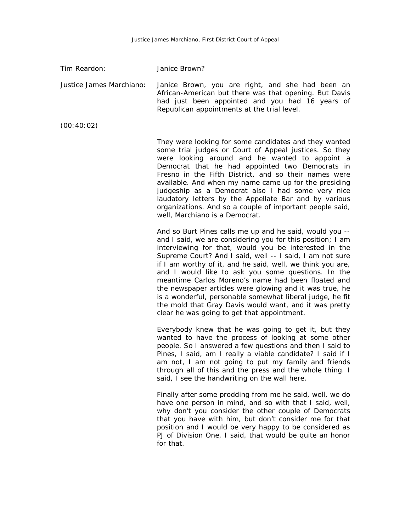Tim Reardon: Janice Brown?

Justice James Marchiano: Janice Brown, you are right, and she had been an African-American but there was that opening. But Davis had just been appointed and you had 16 years of Republican appointments at the trial level.

(00:40:02)

They were looking for some candidates and they wanted some trial judges or Court of Appeal justices. So they were looking around and he wanted to appoint a Democrat that he had appointed two Democrats in Fresno in the Fifth District, and so their names were available. And when my name came up for the presiding judgeship as a Democrat also I had some very nice laudatory letters by the Appellate Bar and by various organizations. And so a couple of important people said, well, Marchiano is a Democrat.

And so Burt Pines calls me up and he said, would you - and I said, we are considering you for this position; I am interviewing for that, would you be interested in the Supreme Court? And I said, well -- I said, I am not sure if I am worthy of it, and he said, well, we think you are, and I would like to ask you some questions. In the meantime Carlos Moreno's name had been floated and the newspaper articles were glowing and it was true, he is a wonderful, personable somewhat liberal judge, he fit the mold that Gray Davis would want, and it was pretty clear he was going to get that appointment.

Everybody knew that he was going to get it, but they wanted to have the process of looking at some other people. So I answered a few questions and then I said to Pines, I said, am I really a viable candidate? I said if I am not, I am not going to put my family and friends through all of this and the press and the whole thing. I said, I see the handwriting on the wall here.

Finally after some prodding from me he said, well, we do have one person in mind, and so with that I said, well, why don't you consider the other couple of Democrats that you have with him, but don't consider me for that position and I would be very happy to be considered as PJ of Division One, I said, that would be quite an honor for that.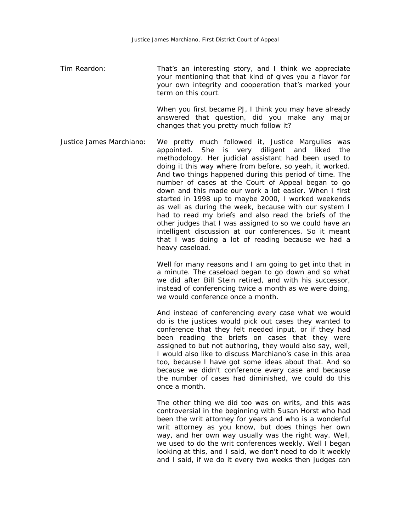Tim Reardon: That's an interesting story, and I think we appreciate your mentioning that that kind of gives you a flavor for your own integrity and cooperation that's marked your term on this court.

> When you first became PJ, I think you may have already answered that question, did you make any major changes that you pretty much follow it?

Justice James Marchiano: We pretty much followed it, Justice Margulies was appointed. She is very diligent and liked the methodology. Her judicial assistant had been used to doing it this way where from before, so yeah, it worked. And two things happened during this period of time. The number of cases at the Court of Appeal began to go down and this made our work a lot easier. When I first started in 1998 up to maybe 2000, I worked weekends as well as during the week, because with our system I had to read my briefs and also read the briefs of the other judges that I was assigned to so we could have an intelligent discussion at our conferences. So it meant that I was doing a lot of reading because we had a heavy caseload.

> Well for many reasons and I am going to get into that in a minute. The caseload began to go down and so what we did after Bill Stein retired, and with his successor, instead of conferencing twice a month as we were doing, we would conference once a month.

> And instead of conferencing every case what we would do is the justices would pick out cases they wanted to conference that they felt needed input, or if they had been reading the briefs on cases that they were assigned to but not authoring, they would also say, well, I would also like to discuss Marchiano's case in this area too, because I have got some ideas about that. And so because we didn't conference every case and because the number of cases had diminished, we could do this once a month.

> The other thing we did too was on writs, and this was controversial in the beginning with Susan Horst who had been the writ attorney for years and who is a wonderful writ attorney as you know, but does things her own way, and her own way usually was the right way. Well, we used to do the writ conferences weekly. Well I began looking at this, and I said, we don't need to do it weekly and I said, if we do it every two weeks then judges can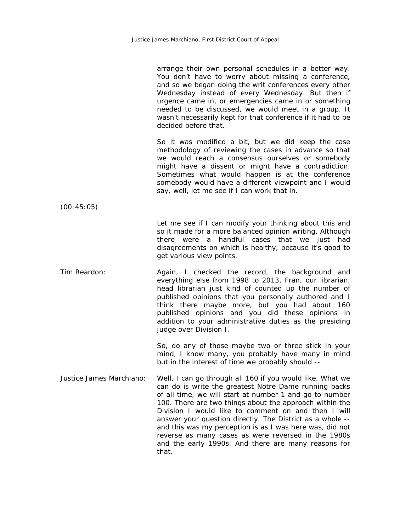|                          | arrange their own personal schedules in a better way.<br>You don't have to worry about missing a conference,<br>and so we began doing the writ conferences every other<br>Wednesday instead of every Wednesday. But then if<br>urgence came in, or emergencies came in or something<br>needed to be discussed, we would meet in a group. It<br>wasn't necessarily kept for that conference if it had to be<br>decided before that.                                                                                                              |
|--------------------------|-------------------------------------------------------------------------------------------------------------------------------------------------------------------------------------------------------------------------------------------------------------------------------------------------------------------------------------------------------------------------------------------------------------------------------------------------------------------------------------------------------------------------------------------------|
|                          | So it was modified a bit, but we did keep the case<br>methodology of reviewing the cases in advance so that<br>we would reach a consensus ourselves or somebody<br>might have a dissent or might have a contradiction.<br>Sometimes what would happen is at the conference<br>somebody would have a different viewpoint and I would<br>say, well, let me see if I can work that in.                                                                                                                                                             |
| (00:45:05)               |                                                                                                                                                                                                                                                                                                                                                                                                                                                                                                                                                 |
|                          | Let me see if I can modify your thinking about this and<br>so it made for a more balanced opinion writing. Although<br>handful cases that we just<br>there were a<br>had<br>disagreements on which is healthy, because it's good to<br>get various view points.                                                                                                                                                                                                                                                                                 |
| Tim Reardon:             | Again, I checked the record, the background and<br>everything else from 1998 to 2013, Fran, our librarian,<br>head librarian just kind of counted up the number of<br>published opinions that you personally authored and I<br>think there maybe more, but you had about 160<br>published opinions and you did these opinions in<br>addition to your administrative duties as the presiding<br>judge over Division I.                                                                                                                           |
|                          | So, do any of those maybe two or three stick in your<br>mind, I know many, you probably have many in mind<br>but in the interest of time we probably should --                                                                                                                                                                                                                                                                                                                                                                                  |
| Justice James Marchiano: | Well, I can go through all 160 if you would like. What we<br>can do is write the greatest Notre Dame running backs<br>of all time, we will start at number 1 and go to number<br>100. There are two things about the approach within the<br>Division I would like to comment on and then I will<br>answer your question directly. The District as a whole --<br>and this was my perception is as I was here was, did not<br>reverse as many cases as were reversed in the 1980s<br>and the early 1990s. And there are many reasons for<br>that. |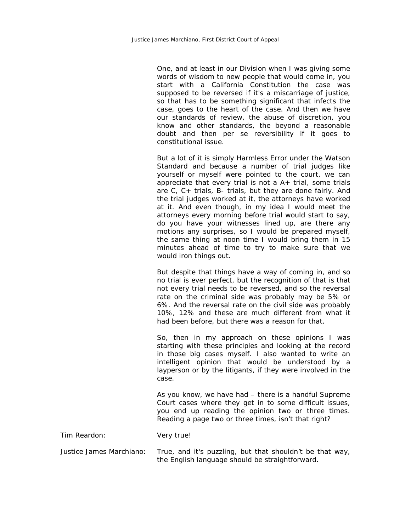One, and at least in our Division when I was giving some words of wisdom to new people that would come in, you start with a California Constitution the case was supposed to be reversed if it's a miscarriage of justice, so that has to be something significant that infects the case, goes to the heart of the case. And then we have our standards of review, the abuse of discretion, you know and other standards, the beyond a reasonable doubt and then per se reversibility if it goes to constitutional issue.

But a lot of it is simply Harmless Error under the Watson Standard and because a number of trial judges like yourself or myself were pointed to the court, we can appreciate that every trial is not a  $A+$  trial, some trials are C, C+ trials, B- trials, but they are done fairly. And the trial judges worked at it, the attorneys have worked at it. And even though, in my idea I would meet the attorneys every morning before trial would start to say, do you have your witnesses lined up, are there any motions any surprises, so I would be prepared myself, the same thing at noon time I would bring them in 15 minutes ahead of time to try to make sure that we would iron things out.

But despite that things have a way of coming in, and so no trial is ever perfect, but the recognition of that is that not every trial needs to be reversed, and so the reversal rate on the criminal side was probably may be 5% or 6%. And the reversal rate on the civil side was probably 10%, 12% and these are much different from what it had been before, but there was a reason for that.

So, then in my approach on these opinions I was starting with these principles and looking at the record in those big cases myself. I also wanted to write an intelligent opinion that would be understood by a layperson or by the litigants, if they were involved in the case.

As you know, we have had – there is a handful Supreme Court cases where they get in to some difficult issues, you end up reading the opinion two or three times. Reading a page two or three times, isn't that right?

Tim Reardon: Very true!

Justice James Marchiano: True, and it's puzzling, but that shouldn't be that way, the English language should be straightforward.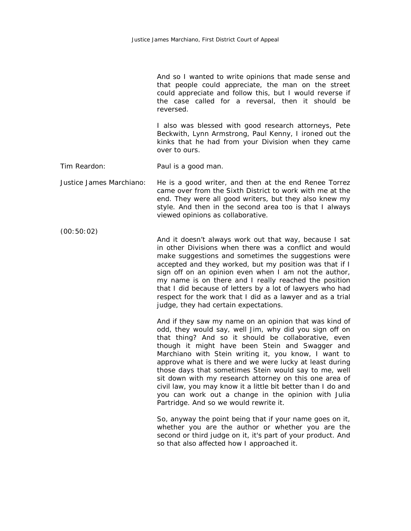|                          | And so I wanted to write opinions that made sense and<br>that people could appreciate, the man on the street<br>could appreciate and follow this, but I would reverse if<br>the case called for a reversal, then it should be<br>reversed.                                                                                                                                                                                                                                                                                                                                                                                        |
|--------------------------|-----------------------------------------------------------------------------------------------------------------------------------------------------------------------------------------------------------------------------------------------------------------------------------------------------------------------------------------------------------------------------------------------------------------------------------------------------------------------------------------------------------------------------------------------------------------------------------------------------------------------------------|
|                          | I also was blessed with good research attorneys, Pete<br>Beckwith, Lynn Armstrong, Paul Kenny, I ironed out the<br>kinks that he had from your Division when they came<br>over to ours.                                                                                                                                                                                                                                                                                                                                                                                                                                           |
| Tim Reardon:             | Paul is a good man.                                                                                                                                                                                                                                                                                                                                                                                                                                                                                                                                                                                                               |
| Justice James Marchiano: | He is a good writer, and then at the end Renee Torrez<br>came over from the Sixth District to work with me at the<br>end. They were all good writers, but they also knew my<br>style. And then in the second area too is that I always<br>viewed opinions as collaborative.                                                                                                                                                                                                                                                                                                                                                       |
| (00:50:02)               | And it doesn't always work out that way, because I sat<br>in other Divisions when there was a conflict and would<br>make suggestions and sometimes the suggestions were<br>accepted and they worked, but my position was that if I<br>sign off on an opinion even when I am not the author,<br>my name is on there and I really reached the position<br>that I did because of letters by a lot of lawyers who had<br>respect for the work that I did as a lawyer and as a trial<br>judge, they had certain expectations.                                                                                                          |
|                          | And if they saw my name on an opinion that was kind of<br>odd, they would say, well Jim, why did you sign off on<br>that thing? And so it should be collaborative, even<br>though it might have been Stein and Swagger and<br>Marchiano with Stein writing it, you know, I want to<br>approve what is there and we were lucky at least during<br>those days that sometimes Stein would say to me, well<br>sit down with my research attorney on this one area of<br>civil law, you may know it a little bit better than I do and<br>you can work out a change in the opinion with Julia<br>Partridge. And so we would rewrite it. |
|                          | So, anyway the point being that if your name goes on it,<br>whether you are the author or whether you are the<br>second or third judge on it, it's part of your product. And<br>so that also affected how I approached it.                                                                                                                                                                                                                                                                                                                                                                                                        |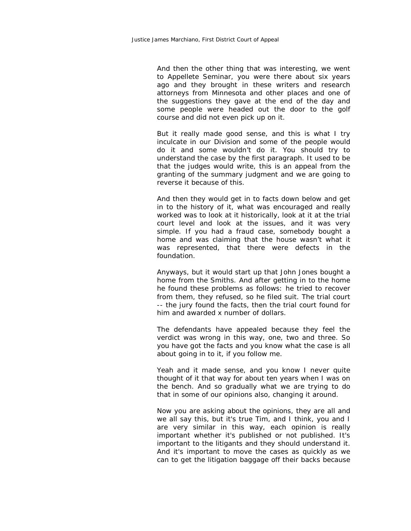And then the other thing that was interesting, we went to Appellete Seminar, you were there about six years ago and they brought in these writers and research attorneys from Minnesota and other places and one of the suggestions they gave at the end of the day and some people were headed out the door to the golf course and did not even pick up on it.

But it really made good sense, and this is what I try inculcate in our Division and some of the people would do it and some wouldn't do it. You should try to understand the case by the first paragraph. It used to be that the judges would write, this is an appeal from the granting of the summary judgment and we are going to reverse it because of this.

And then they would get in to facts down below and get in to the history of it, what was encouraged and really worked was to look at it historically, look at it at the trial court level and look at the issues, and it was very simple. If you had a fraud case, somebody bought a home and was claiming that the house wasn't what it was represented, that there were defects in the foundation.

Anyways, but it would start up that John Jones bought a home from the Smiths. And after getting in to the home he found these problems as follows: he tried to recover from them, they refused, so he filed suit. The trial court -- the jury found the facts, then the trial court found for him and awarded x number of dollars.

The defendants have appealed because they feel the verdict was wrong in this way, one, two and three. So you have got the facts and you know what the case is all about going in to it, if you follow me.

Yeah and it made sense, and you know I never quite thought of it that way for about ten years when I was on the bench. And so gradually what we are trying to do that in some of our opinions also, changing it around.

Now you are asking about the opinions, they are all and we all say this, but it's true Tim, and I think, you and I are very similar in this way, each opinion is really important whether it's published or not published. It's important to the litigants and they should understand it. And it's important to move the cases as quickly as we can to get the litigation baggage off their backs because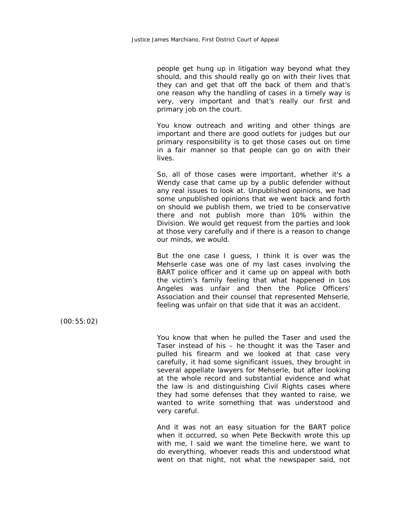people get hung up in litigation way beyond what they should, and this should really go on with their lives that they can and get that off the back of them and that's one reason why the handling of cases in a timely way is very, very important and that's really our first and primary job on the court.

You know outreach and writing and other things are important and there are good outlets for judges but our primary responsibility is to get those cases out on time in a fair manner so that people can go on with their lives.

So, all of those cases were important, whether it's a Wendy case that came up by a public defender without any real issues to look at. Unpublished opinions, we had some unpublished opinions that we went back and forth on should we publish them, we tried to be conservative there and not publish more than 10% within the Division. We would get request from the parties and look at those very carefully and if there is a reason to change our minds, we would.

But the one case I guess, I think it is over was the Mehserle case was one of my last cases involving the BART police officer and it came up on appeal with both the victim's family feeling that what happened in Los Angeles was unfair and then the Police Officers' Association and their counsel that represented Mehserle, feeling was unfair on that side that it was an accident.

(00:55:02)

You know that when he pulled the Taser and used the Taser instead of his – he thought it was the Taser and pulled his firearm and we looked at that case very carefully, it had some significant issues, they brought in several appellate lawyers for Mehserle, but after looking at the whole record and substantial evidence and what the law is and distinguishing Civil Rights cases where they had some defenses that they wanted to raise, we wanted to write something that was understood and very careful.

And it was not an easy situation for the BART police when it occurred, so when Pete Beckwith wrote this up with me, I said we want the timeline here, we want to do everything, whoever reads this and understood what went on that night, not what the newspaper said, not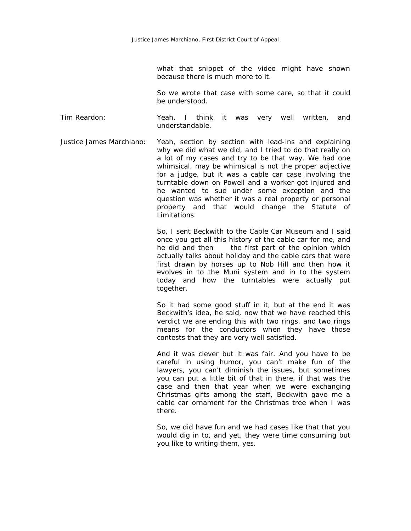what that snippet of the video might have shown because there is much more to it.

So we wrote that case with some care, so that it could be understood.

Tim Reardon: Yeah, I think it was very well written, and understandable.

Justice James Marchiano: Yeah, section by section with lead-ins and explaining why we did what we did, and I tried to do that really on a lot of my cases and try to be that way. We had one whimsical, may be whimsical is not the proper adjective for a judge, but it was a cable car case involving the turntable down on Powell and a worker got injured and he wanted to sue under some exception and the question was whether it was a real property or personal property and that would change the Statute of Limitations.

> So, I sent Beckwith to the Cable Car Museum and I said once you get all this history of the cable car for me, and he did and then the first part of the opinion which actually talks about holiday and the cable cars that were first drawn by horses up to Nob Hill and then how it evolves in to the Muni system and in to the system today and how the turntables were actually put together.

> So it had some good stuff in it, but at the end it was Beckwith's idea, he said, now that we have reached this verdict we are ending this with two rings, and two rings means for the conductors when they have those contests that they are very well satisfied.

> And it was clever but it was fair. And you have to be careful in using humor, you can't make fun of the lawyers, you can't diminish the issues, but sometimes you can put a little bit of that in there, if that was the case and then that year when we were exchanging Christmas gifts among the staff, Beckwith gave me a cable car ornament for the Christmas tree when I was there.

> So, we did have fun and we had cases like that that you would dig in to, and yet, they were time consuming but you like to writing them, yes.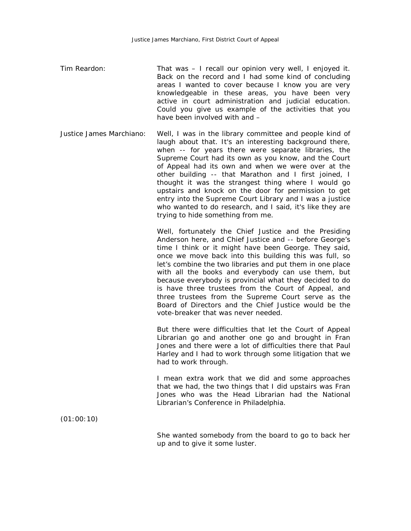- Tim Reardon: That was I recall our opinion very well, I enjoyed it. Back on the record and I had some kind of concluding areas I wanted to cover because I know you are very knowledgeable in these areas, you have been very active in court administration and judicial education. Could you give us example of the activities that you have been involved with and –
- Justice James Marchiano: Well, I was in the library committee and people kind of laugh about that. It's an interesting background there, when -- for years there were separate libraries, the Supreme Court had its own as you know, and the Court of Appeal had its own and when we were over at the other building -- that Marathon and I first joined, I thought it was the strangest thing where I would go upstairs and knock on the door for permission to get entry into the Supreme Court Library and I was a justice who wanted to do research, and I said, it's like they are trying to hide something from me.

Well, fortunately the Chief Justice and the Presiding Anderson here, and Chief Justice and -- before George's time I think or it might have been George. They said, once we move back into this building this was full, so let's combine the two libraries and put them in one place with all the books and everybody can use them, but because everybody is provincial what they decided to do is have three trustees from the Court of Appeal, and three trustees from the Supreme Court serve as the Board of Directors and the Chief Justice would be the vote-breaker that was never needed.

But there were difficulties that let the Court of Appeal Librarian go and another one go and brought in Fran Jones and there were a lot of difficulties there that Paul Harley and I had to work through some litigation that we had to work through.

I mean extra work that we did and some approaches that we had, the two things that I did upstairs was Fran Jones who was the Head Librarian had the National Librarian's Conference in Philadelphia.

(01:00:10)

She wanted somebody from the board to go to back her up and to give it some luster.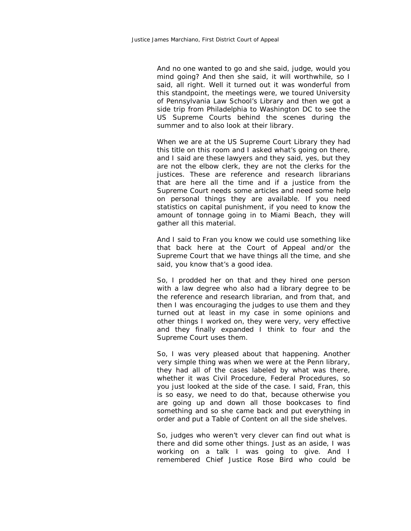And no one wanted to go and she said, judge, would you mind going? And then she said, it will worthwhile, so I said, all right. Well it turned out it was wonderful from this standpoint, the meetings were, we toured University of Pennsylvania Law School's Library and then we got a side trip from Philadelphia to Washington DC to see the US Supreme Courts behind the scenes during the summer and to also look at their library.

When we are at the US Supreme Court Library they had this title on this room and I asked what's going on there, and I said are these lawyers and they said, yes, but they are not the elbow clerk, they are not the clerks for the justices. These are reference and research librarians that are here all the time and if a justice from the Supreme Court needs some articles and need some help on personal things they are available. If you need statistics on capital punishment, if you need to know the amount of tonnage going in to Miami Beach, they will gather all this material.

And I said to Fran you know we could use something like that back here at the Court of Appeal and/or the Supreme Court that we have things all the time, and she said, you know that's a good idea.

So, I prodded her on that and they hired one person with a law degree who also had a library degree to be the reference and research librarian, and from that, and then I was encouraging the judges to use them and they turned out at least in my case in some opinions and other things I worked on, they were very, very effective and they finally expanded I think to four and the Supreme Court uses them.

So, I was very pleased about that happening. Another very simple thing was when we were at the Penn library, they had all of the cases labeled by what was there, whether it was Civil Procedure, Federal Procedures, so you just looked at the side of the case. I said, Fran, this is so easy, we need to do that, because otherwise you are going up and down all those bookcases to find something and so she came back and put everything in order and put a Table of Content on all the side shelves.

So, judges who weren't very clever can find out what is there and did some other things. Just as an aside, I was working on a talk I was going to give. And I remembered Chief Justice Rose Bird who could be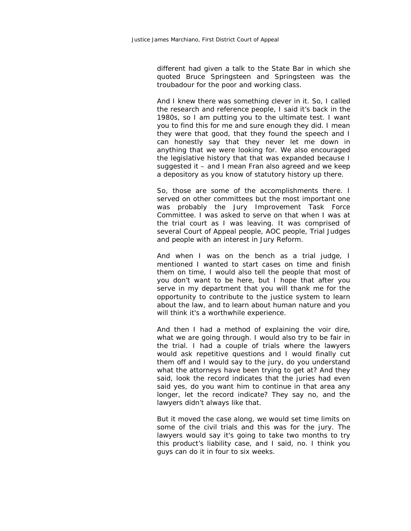different had given a talk to the State Bar in which she quoted Bruce Springsteen and Springsteen was the troubadour for the poor and working class.

And I knew there was something clever in it. So, I called the research and reference people, I said it's back in the 1980s, so I am putting you to the ultimate test. I want you to find this for me and sure enough they did. I mean they were that good, that they found the speech and I can honestly say that they never let me down in anything that we were looking for. We also encouraged the legislative history that that was expanded because I suggested it – and I mean Fran also agreed and we keep a depository as you know of statutory history up there.

So, those are some of the accomplishments there. I served on other committees but the most important one was probably the Jury Improvement Task Force Committee. I was asked to serve on that when I was at the trial court as I was leaving. It was comprised of several Court of Appeal people, AOC people, Trial Judges and people with an interest in Jury Reform.

And when I was on the bench as a trial judge, I mentioned I wanted to start cases on time and finish them on time, I would also tell the people that most of you don't want to be here, but I hope that after you serve in my department that you will thank me for the opportunity to contribute to the justice system to learn about the law, and to learn about human nature and you will think it's a worthwhile experience.

And then I had a method of explaining the voir dire, what we are going through. I would also try to be fair in the trial. I had a couple of trials where the lawyers would ask repetitive questions and I would finally cut them off and I would say to the jury, do you understand what the attorneys have been trying to get at? And they said, look the record indicates that the juries had even said yes, do you want him to continue in that area any longer, let the record indicate? They say no, and the lawyers didn't always like that.

But it moved the case along, we would set time limits on some of the civil trials and this was for the jury. The lawyers would say it's going to take two months to try this product's liability case, and I said, no. I think you guys can do it in four to six weeks.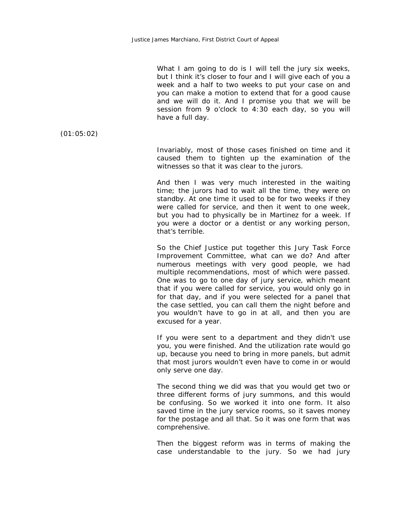What I am going to do is I will tell the jury six weeks, but I think it's closer to four and I will give each of you a week and a half to two weeks to put your case on and you can make a motion to extend that for a good cause and we will do it. And I promise you that we will be session from 9 o'clock to 4:30 each day, so you will have a full day.

(01:05:02)

Invariably, most of those cases finished on time and it caused them to tighten up the examination of the witnesses so that it was clear to the jurors.

And then I was very much interested in the waiting time; the jurors had to wait all the time, they were on standby. At one time it used to be for two weeks if they were called for service, and then it went to one week, but you had to physically be in Martinez for a week. If you were a doctor or a dentist or any working person, that's terrible.

So the Chief Justice put together this Jury Task Force Improvement Committee, what can we do? And after numerous meetings with very good people, we had multiple recommendations, most of which were passed. One was to go to one day of jury service, which meant that if you were called for service, you would only go in for that day, and if you were selected for a panel that the case settled, you can call them the night before and you wouldn't have to go in at all, and then you are excused for a year.

If you were sent to a department and they didn't use you, you were finished. And the utilization rate would go up, because you need to bring in more panels, but admit that most jurors wouldn't even have to come in or would only serve one day.

The second thing we did was that you would get two or three different forms of jury summons, and this would be confusing. So we worked it into one form. It also saved time in the jury service rooms, so it saves money for the postage and all that. So it was one form that was comprehensive.

Then the biggest reform was in terms of making the case understandable to the jury. So we had jury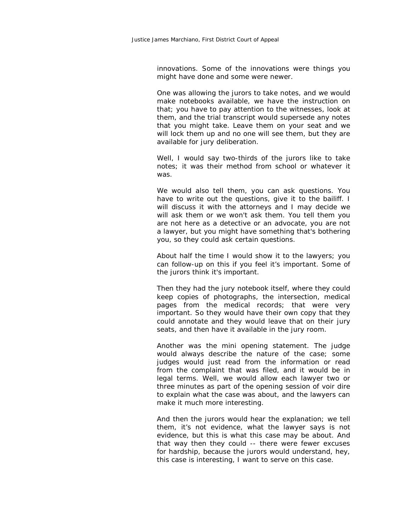innovations. Some of the innovations were things you might have done and some were newer.

One was allowing the jurors to take notes, and we would make notebooks available, we have the instruction on that; you have to pay attention to the witnesses, look at them, and the trial transcript would supersede any notes that you might take. Leave them on your seat and we will lock them up and no one will see them, but they are available for jury deliberation.

Well, I would say two-thirds of the jurors like to take notes; it was their method from school or whatever it was.

We would also tell them, you can ask questions. You have to write out the questions, give it to the bailiff. I will discuss it with the attorneys and I may decide we will ask them or we won't ask them. You tell them you are not here as a detective or an advocate, you are not a lawyer, but you might have something that's bothering you, so they could ask certain questions.

About half the time I would show it to the lawyers; you can follow-up on this if you feel it's important. Some of the jurors think it's important.

Then they had the jury notebook itself, where they could keep copies of photographs, the intersection, medical pages from the medical records; that were very important. So they would have their own copy that they could annotate and they would leave that on their jury seats, and then have it available in the jury room.

Another was the mini opening statement. The judge would always describe the nature of the case; some judges would just read from the information or read from the complaint that was filed, and it would be in legal terms. Well, we would allow each lawyer two or three minutes as part of the opening session of voir dire to explain what the case was about, and the lawyers can make it much more interesting.

And then the jurors would hear the explanation; we tell them, it's not evidence, what the lawyer says is not evidence, but this is what this case may be about. And that way then they could -- there were fewer excuses for hardship, because the jurors would understand, hey, this case is interesting, I want to serve on this case.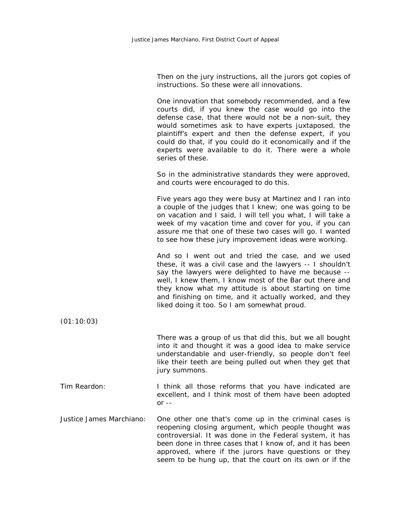Then on the jury instructions, all the jurors got copies of instructions. So these were all innovations.

One innovation that somebody recommended, and a few courts did, if you knew the case would go into the defense case, that there would not be a non-suit, they would sometimes ask to have experts juxtaposed, the plaintiff's expert and then the defense expert, if you could do that, if you could do it economically and if the experts were available to do it. There were a whole series of these.

So in the administrative standards they were approved, and courts were encouraged to do this.

Five years ago they were busy at Martinez and I ran into a couple of the judges that I knew; one was going to be on vacation and I said, I will tell you what, I will take a week of my vacation time and cover for you, if you can assure me that one of these two cases will go. I wanted to see how these jury improvement ideas were working.

And so I went out and tried the case, and we used these, it was a civil case and the lawyers -- I shouldn't say the lawyers were delighted to have me because - well, I knew them, I know most of the Bar out there and they know what my attitude is about starting on time and finishing on time, and it actually worked, and they liked doing it too. So I am somewhat proud.

(01:10:03)

There was a group of us that did this, but we all bought into it and thought it was a good idea to make service understandable and user-friendly, so people don't feel like their teeth are being pulled out when they get that jury summons.

- Tim Reardon: I think all those reforms that you have indicated are excellent, and I think most of them have been adopted or --
- Justice James Marchiano: One other one that's come up in the criminal cases is reopening closing argument, which people thought was controversial. It was done in the Federal system, it has been done in three cases that I know of, and it has been approved, where if the jurors have questions or they seem to be hung up, that the court on its own or if the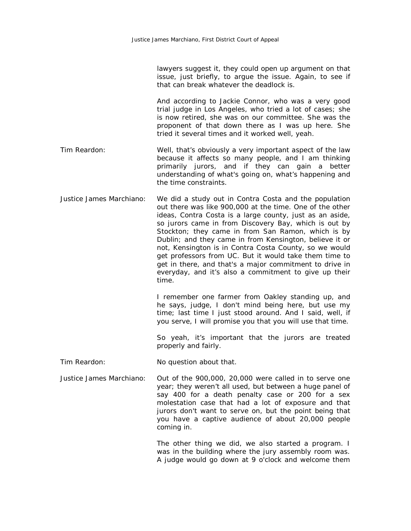lawyers suggest it, they could open up argument on that issue, just briefly, to argue the issue. Again, to see if that can break whatever the deadlock is.

And according to Jackie Connor, who was a very good trial judge in Los Angeles, who tried a lot of cases; she is now retired, she was on our committee. She was the proponent of that down there as I was up here. She tried it several times and it worked well, yeah.

- Tim Reardon: Well, that's obviously a very important aspect of the law because it affects so many people, and I am thinking primarily jurors, and if they can gain a better understanding of what's going on, what's happening and the time constraints.
- Justice James Marchiano: We did a study out in Contra Costa and the population out there was like 900,000 at the time. One of the other ideas, Contra Costa is a large county, just as an aside, so jurors came in from Discovery Bay, which is out by Stockton; they came in from San Ramon, which is by Dublin; and they came in from Kensington, believe it or not, Kensington is in Contra Costa County, so we would get professors from UC. But it would take them time to get in there, and that's a major commitment to drive in everyday, and it's also a commitment to give up their time.

I remember one farmer from Oakley standing up, and he says, judge, I don't mind being here, but use my time; last time I just stood around. And I said, well, if you serve, I will promise you that you will use that time.

So yeah, it's important that the jurors are treated properly and fairly.

- Tim Reardon: No question about that.
- Justice James Marchiano: Out of the 900,000, 20,000 were called in to serve one year; they weren't all used, but between a huge panel of say 400 for a death penalty case or 200 for a sex molestation case that had a lot of exposure and that jurors don't want to serve on, but the point being that you have a captive audience of about 20,000 people coming in.

The other thing we did, we also started a program. I was in the building where the jury assembly room was. A judge would go down at 9 o'clock and welcome them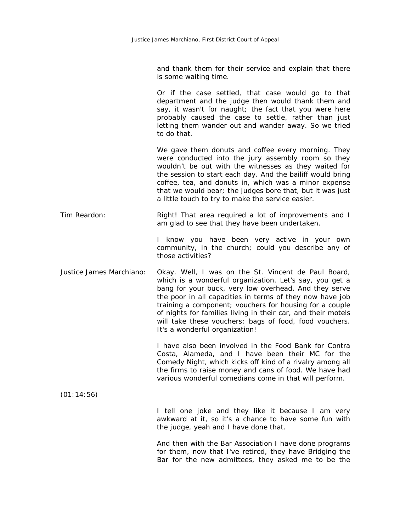and thank them for their service and explain that there is some waiting time.

Or if the case settled, that case would go to that department and the judge then would thank them and say, it wasn't for naught; the fact that you were here probably caused the case to settle, rather than just letting them wander out and wander away. So we tried to do that.

We gave them donuts and coffee every morning. They were conducted into the jury assembly room so they wouldn't be out with the witnesses as they waited for the session to start each day. And the bailiff would bring coffee, tea, and donuts in, which was a minor expense that we would bear; the judges bore that, but it was just a little touch to try to make the service easier.

Tim Reardon: That area required a lot of improvements and I am glad to see that they have been undertaken.

> I know you have been very active in your own community, in the church; could you describe any of those activities?

Justice James Marchiano: Okay. Well, I was on the St. Vincent de Paul Board, which is a wonderful organization. Let's say, you get a bang for your buck, very low overhead. And they serve the poor in all capacities in terms of they now have job training a component; vouchers for housing for a couple of nights for families living in their car, and their motels will take these vouchers; bags of food, food vouchers. It's a wonderful organization!

> I have also been involved in the Food Bank for Contra Costa, Alameda, and I have been their MC for the Comedy Night, which kicks off kind of a rivalry among all the firms to raise money and cans of food. We have had various wonderful comedians come in that will perform.

(01:14:56)

I tell one joke and they like it because I am very awkward at it, so it's a chance to have some fun with the judge, yeah and I have done that.

And then with the Bar Association I have done programs for them, now that I've retired, they have Bridging the Bar for the new admittees, they asked me to be the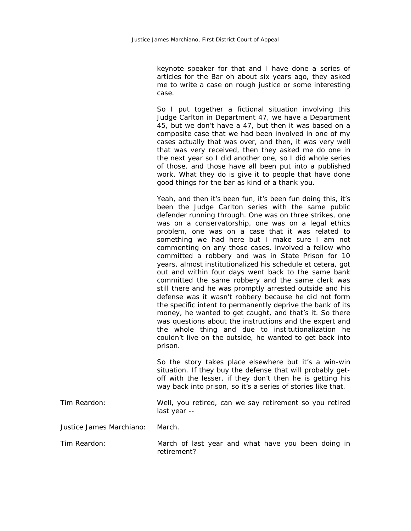keynote speaker for that and I have done a series of articles for the Bar oh about six years ago, they asked me to write a case on rough justice or some interesting case.

So I put together a fictional situation involving this Judge Carlton in Department 47, we have a Department 45, but we don't have a 47, but then it was based on a composite case that we had been involved in one of my cases actually that was over, and then, it was very well that was very received, then they asked me do one in the next year so I did another one, so I did whole series of those, and those have all been put into a published work. What they do is give it to people that have done good things for the bar as kind of a thank you.

Yeah, and then it's been fun, it's been fun doing this, it's been the Judge Carlton series with the same public defender running through. One was on three strikes, one was on a conservatorship, one was on a legal ethics problem, one was on a case that it was related to something we had here but I make sure I am not commenting on any those cases, involved a fellow who committed a robbery and was in State Prison for 10 years, almost institutionalized his schedule et cetera, got out and within four days went back to the same bank committed the same robbery and the same clerk was still there and he was promptly arrested outside and his defense was it wasn't robbery because he did not form the specific intent to permanently deprive the bank of its money, he wanted to get caught, and that's it. So there was questions about the instructions and the expert and the whole thing and due to institutionalization he couldn't live on the outside, he wanted to get back into prison.

So the story takes place elsewhere but it's a win-win situation. If they buy the defense that will probably getoff with the lesser, if they don't then he is getting his way back into prison, so it's a series of stories like that.

| Tim Reardon: |              | Well, you retired, can we say retirement so you retired |  |
|--------------|--------------|---------------------------------------------------------|--|
|              | last year -- |                                                         |  |

Justice James Marchiano: March.

Tim Reardon: March of last year and what have you been doing in retirement?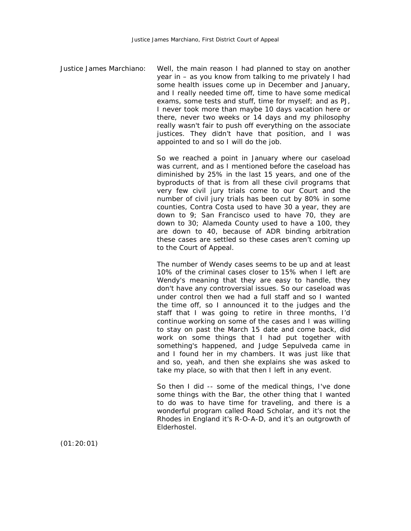Justice James Marchiano: Well, the main reason I had planned to stay on another year in – as you know from talking to me privately I had some health issues come up in December and January, and I really needed time off, time to have some medical exams, some tests and stuff, time for myself; and as PJ, I never took more than maybe 10 days vacation here or there, never two weeks or 14 days and my philosophy really wasn't fair to push off everything on the associate justices. They didn't have that position, and I was appointed to and so I will do the job.

> So we reached a point in January where our caseload was current, and as I mentioned before the caseload has diminished by 25% in the last 15 years, and one of the byproducts of that is from all these civil programs that very few civil jury trials come to our Court and the number of civil jury trials has been cut by 80% in some counties, Contra Costa used to have 30 a year, they are down to 9; San Francisco used to have 70, they are down to 30; Alameda County used to have a 100, they are down to 40, because of ADR binding arbitration these cases are settled so these cases aren't coming up to the Court of Appeal.

> The number of Wendy cases seems to be up and at least 10% of the criminal cases closer to 15% when I left are Wendy's meaning that they are easy to handle, they don't have any controversial issues. So our caseload was under control then we had a full staff and so I wanted the time off, so I announced it to the judges and the staff that I was going to retire in three months, I'd continue working on some of the cases and I was willing to stay on past the March 15 date and come back, did work on some things that I had put together with something's happened, and Judge Sepulveda came in and I found her in my chambers. It was just like that and so, yeah, and then she explains she was asked to take my place, so with that then I left in any event.

> So then I did -- some of the medical things, I've done some things with the Bar, the other thing that I wanted to do was to have time for traveling, and there is a wonderful program called Road Scholar, and it's not the Rhodes in England it's R-O-A-D, and it's an outgrowth of Elderhostel.

(01:20:01)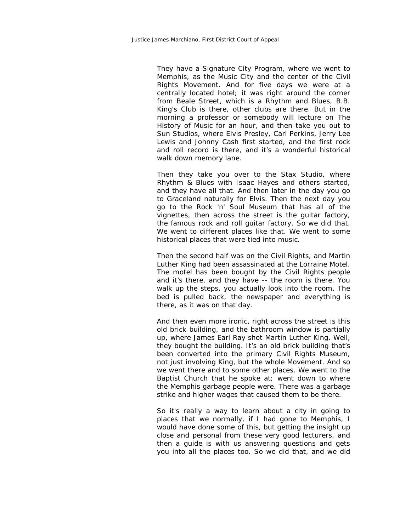They have a Signature City Program, where we went to Memphis, as the Music City and the center of the Civil Rights Movement. And for five days we were at a centrally located hotel; it was right around the corner from Beale Street, which is a Rhythm and Blues, B.B. King's Club is there, other clubs are there. But in the morning a professor or somebody will lecture on The History of Music for an hour, and then take you out to Sun Studios, where Elvis Presley, Carl Perkins, Jerry Lee Lewis and Johnny Cash first started, and the first rock and roll record is there, and it's a wonderful historical walk down memory lane.

Then they take you over to the Stax Studio, where Rhythm & Blues with Isaac Hayes and others started, and they have all that. And then later in the day you go to Graceland naturally for Elvis. Then the next day you go to the Rock 'n' Soul Museum that has all of the vignettes, then across the street is the guitar factory, the famous rock and roll guitar factory. So we did that. We went to different places like that. We went to some historical places that were tied into music.

Then the second half was on the Civil Rights, and Martin Luther King had been assassinated at the Lorraine Motel. The motel has been bought by the Civil Rights people and it's there, and they have -- the room is there. You walk up the steps, you actually look into the room. The bed is pulled back, the newspaper and everything is there, as it was on that day.

And then even more ironic, right across the street is this old brick building, and the bathroom window is partially up, where James Earl Ray shot Martin Luther King. Well, they bought the building. It's an old brick building that's been converted into the primary Civil Rights Museum, not just involving King, but the whole Movement. And so we went there and to some other places. We went to the Baptist Church that he spoke at; went down to where the Memphis garbage people were. There was a garbage strike and higher wages that caused them to be there.

So it's really a way to learn about a city in going to places that we normally, if I had gone to Memphis, I would have done some of this, but getting the insight up close and personal from these very good lecturers, and then a guide is with us answering questions and gets you into all the places too. So we did that, and we did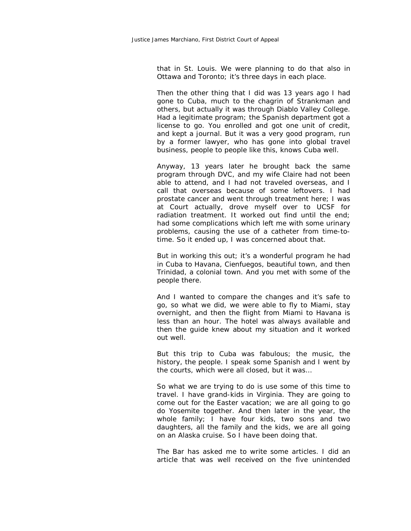that in St. Louis. We were planning to do that also in Ottawa and Toronto; it's three days in each place.

Then the other thing that I did was 13 years ago I had gone to Cuba, much to the chagrin of Strankman and others, but actually it was through Diablo Valley College. Had a legitimate program; the Spanish department got a license to go. You enrolled and got one unit of credit, and kept a journal. But it was a very good program, run by a former lawyer, who has gone into global travel business, people to people like this, knows Cuba well.

Anyway, 13 years later he brought back the same program through DVC, and my wife Claire had not been able to attend, and I had not traveled overseas, and I call that overseas because of some leftovers. I had prostate cancer and went through treatment here; I was at Court actually, drove myself over to UCSF for radiation treatment. It worked out find until the end; had some complications which left me with some urinary problems, causing the use of a catheter from time-totime. So it ended up, I was concerned about that.

But in working this out; it's a wonderful program he had in Cuba to Havana, Cienfuegos, beautiful town, and then Trinidad, a colonial town. And you met with some of the people there.

And I wanted to compare the changes and it's safe to go, so what we did, we were able to fly to Miami, stay overnight, and then the flight from Miami to Havana is less than an hour. The hotel was always available and then the guide knew about my situation and it worked out well.

But this trip to Cuba was fabulous; the music, the history, the people. I speak some Spanish and I went by the courts, which were all closed, but it was…

So what we are trying to do is use some of this time to travel. I have grand-kids in Virginia. They are going to come out for the Easter vacation; we are all going to go do Yosemite together. And then later in the year, the whole family; I have four kids, two sons and two daughters, all the family and the kids, we are all going on an Alaska cruise. So I have been doing that.

The Bar has asked me to write some articles. I did an article that was well received on the five unintended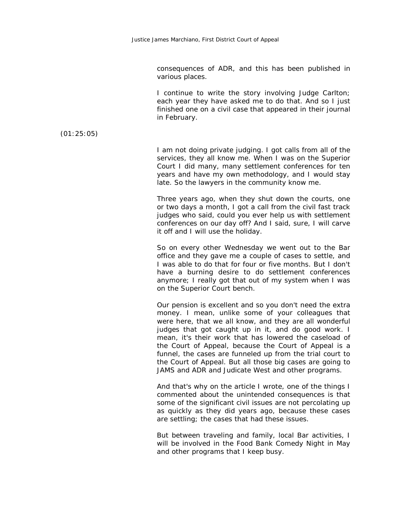consequences of ADR, and this has been published in various places.

I continue to write the story involving Judge Carlton; each year they have asked me to do that. And so I just finished one on a civil case that appeared in their journal in February.

(01:25:05)

I am not doing private judging. I got calls from all of the services, they all know me. When I was on the Superior Court I did many, many settlement conferences for ten years and have my own methodology, and I would stay late. So the lawyers in the community know me.

Three years ago, when they shut down the courts, one or two days a month, I got a call from the civil fast track judges who said, could you ever help us with settlement conferences on our day off? And I said, sure, I will carve it off and I will use the holiday.

So on every other Wednesday we went out to the Bar office and they gave me a couple of cases to settle, and I was able to do that for four or five months. But I don't have a burning desire to do settlement conferences anymore; I really got that out of my system when I was on the Superior Court bench.

Our pension is excellent and so you don't need the extra money. I mean, unlike some of your colleagues that were here, that we all know, and they are all wonderful judges that got caught up in it, and do good work. I mean, it's their work that has lowered the caseload of the Court of Appeal, because the Court of Appeal is a funnel, the cases are funneled up from the trial court to the Court of Appeal. But all those big cases are going to JAMS and ADR and Judicate West and other programs.

And that's why on the article I wrote, one of the things I commented about the unintended consequences is that some of the significant civil issues are not percolating up as quickly as they did years ago, because these cases are settling; the cases that had these issues.

But between traveling and family, local Bar activities, I will be involved in the Food Bank Comedy Night in May and other programs that I keep busy.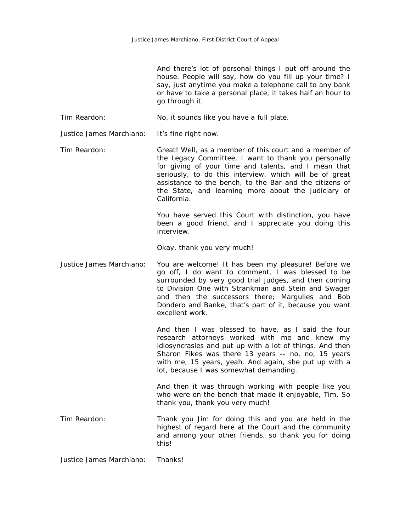And there's lot of personal things I put off around the house. People will say, how do you fill up your time? I say, just anytime you make a telephone call to any bank or have to take a personal place, it takes half an hour to go through it.

Tim Reardon: No, it sounds like you have a full plate.

Justice James Marchiano: It's fine right now.

Tim Reardon: Great! Well, as a member of this court and a member of the Legacy Committee, I want to thank you personally for giving of your time and talents, and I mean that seriously, to do this interview, which will be of great assistance to the bench, to the Bar and the citizens of the State, and learning more about the judiciary of California.

> You have served this Court with distinction, you have been a good friend, and I appreciate you doing this interview.

Okay, thank you very much!

Justice James Marchiano: You are welcome! It has been my pleasure! Before we go off, I do want to comment, I was blessed to be surrounded by very good trial judges, and then coming to Division One with Strankman and Stein and Swager and then the successors there; Margulies and Bob Dondero and Banke, that's part of it, because you want excellent work.

> And then I was blessed to have, as I said the four research attorneys worked with me and knew my idiosyncrasies and put up with a lot of things. And then Sharon Fikes was there 13 years -- no, no, 15 years with me, 15 years, yeah. And again, she put up with a lot, because I was somewhat demanding.

> And then it was through working with people like you who were on the bench that made it enjoyable, Tim. So thank you, thank you very much!

Tim Reardon: Thank you Jim for doing this and you are held in the highest of regard here at the Court and the community and among your other friends, so thank you for doing this!

Justice James Marchiano: Thanks!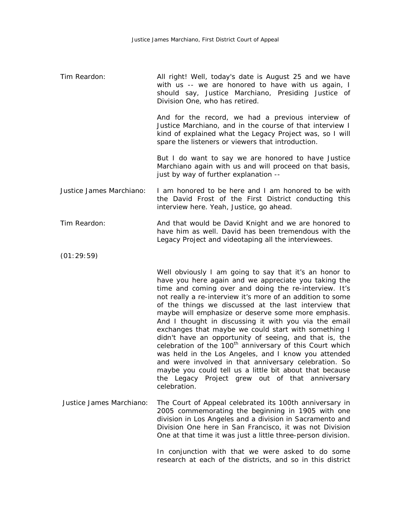Tim Reardon: All right! Well, today's date is August 25 and we have with us -- we are honored to have with us again, I should say, Justice Marchiano, Presiding Justice of Division One, who has retired.

> And for the record, we had a previous interview of Justice Marchiano, and in the course of that interview I kind of explained what the Legacy Project was, so I will spare the listeners or viewers that introduction.

> But I do want to say we are honored to have Justice Marchiano again with us and will proceed on that basis, just by way of further explanation --

- Justice James Marchiano: I am honored to be here and I am honored to be with the David Frost of the First District conducting this interview here. Yeah, Justice, go ahead.
- Tim Reardon: And that would be David Knight and we are honored to have him as well. David has been tremendous with the Legacy Project and videotaping all the interviewees.
- (01:29:59)

Well obviously I am going to say that it's an honor to have you here again and we appreciate you taking the time and coming over and doing the re-interview. It's not really a re-interview it's more of an addition to some of the things we discussed at the last interview that maybe will emphasize or deserve some more emphasis. And I thought in discussing it with you via the email exchanges that maybe we could start with something I didn't have an opportunity of seeing, and that is, the celebration of the  $100<sup>th</sup>$  anniversary of this Court which was held in the Los Angeles, and I know you attended and were involved in that anniversary celebration. So maybe you could tell us a little bit about that because the Legacy Project grew out of that anniversary celebration.

Justice James Marchiano: The Court of Appeal celebrated its 100th anniversary in 2005 commemorating the beginning in 1905 with one division in Los Angeles and a division in Sacramento and Division One here in San Francisco, it was not Division One at that time it was just a little three-person division.

> In conjunction with that we were asked to do some research at each of the districts, and so in this district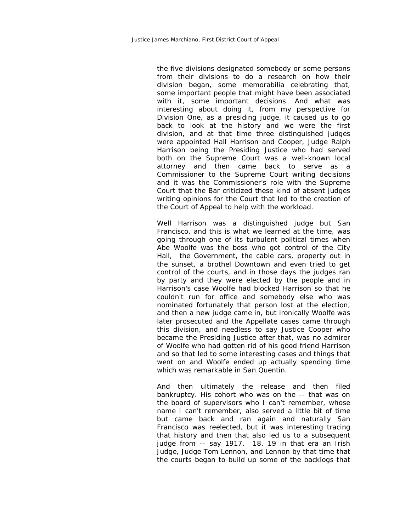the five divisions designated somebody or some persons from their divisions to do a research on how their division began, some memorabilia celebrating that, some important people that might have been associated with it, some important decisions. And what was interesting about doing it, from my perspective for Division One, as a presiding judge, it caused us to go back to look at the history and we were the first division, and at that time three distinguished judges were appointed Hall Harrison and Cooper, Judge Ralph Harrison being the Presiding Justice who had served both on the Supreme Court was a well-known local attorney and then came back to serve as a Commissioner to the Supreme Court writing decisions and it was the Commissioner's role with the Supreme Court that the Bar criticized these kind of absent judges writing opinions for the Court that led to the creation of the Court of Appeal to help with the workload.

Well Harrison was a distinguished judge but San Francisco, and this is what we learned at the time, was going through one of its turbulent political times when Abe Woolfe was the boss who got control of the City Hall, the Government, the cable cars, property out in the sunset, a brothel Downtown and even tried to get control of the courts, and in those days the judges ran by party and they were elected by the people and in Harrison's case Woolfe had blocked Harrison so that he couldn't run for office and somebody else who was nominated fortunately that person lost at the election, and then a new judge came in, but ironically Woolfe was later prosecuted and the Appellate cases came through this division, and needless to say Justice Cooper who became the Presiding Justice after that, was no admirer of Woolfe who had gotten rid of his good friend Harrison and so that led to some interesting cases and things that went on and Woolfe ended up actually spending time which was remarkable in San Quentin.

And then ultimately the release and then filed bankruptcy. His cohort who was on the -- that was on the board of supervisors who I can't remember, whose name I can't remember, also served a little bit of time but came back and ran again and naturally San Francisco was reelected, but it was interesting tracing that history and then that also led us to a subsequent judge from -- say 1917, 18, 19 in that era an Irish Judge, Judge Tom Lennon, and Lennon by that time that the courts began to build up some of the backlogs that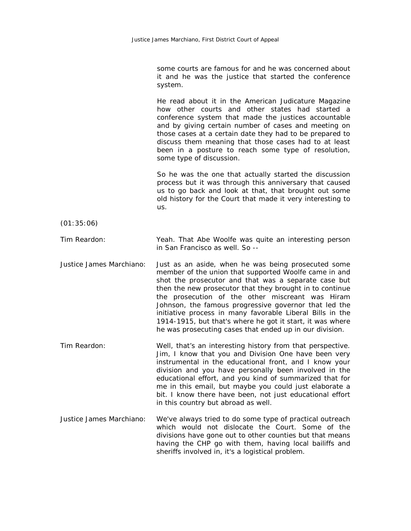some courts are famous for and he was concerned about it and he was the justice that started the conference system.

He read about it in the American Judicature Magazine how other courts and other states had started a conference system that made the justices accountable and by giving certain number of cases and meeting on those cases at a certain date they had to be prepared to discuss them meaning that those cases had to at least been in a posture to reach some type of resolution, some type of discussion.

So he was the one that actually started the discussion process but it was through this anniversary that caused us to go back and look at that, that brought out some old history for the Court that made it very interesting to us.

(01:35:06)

Tim Reardon: Yeah. That Abe Woolfe was quite an interesting person in San Francisco as well. So --

Justice James Marchiano: Just as an aside, when he was being prosecuted some member of the union that supported Woolfe came in and shot the prosecutor and that was a separate case but then the new prosecutor that they brought in to continue the prosecution of the other miscreant was Hiram Johnson, the famous progressive governor that led the initiative process in many favorable Liberal Bills in the 1914-1915, but that's where he got it start, it was where he was prosecuting cases that ended up in our division.

Tim Reardon: Well, that's an interesting history from that perspective. Jim, I know that you and Division One have been very instrumental in the educational front, and I know your division and you have personally been involved in the educational effort, and you kind of summarized that for me in this email, but maybe you could just elaborate a bit. I know there have been, not just educational effort in this country but abroad as well.

Justice James Marchiano: We've always tried to do some type of practical outreach which would not dislocate the Court. Some of the divisions have gone out to other counties but that means having the CHP go with them, having local bailiffs and sheriffs involved in, it's a logistical problem.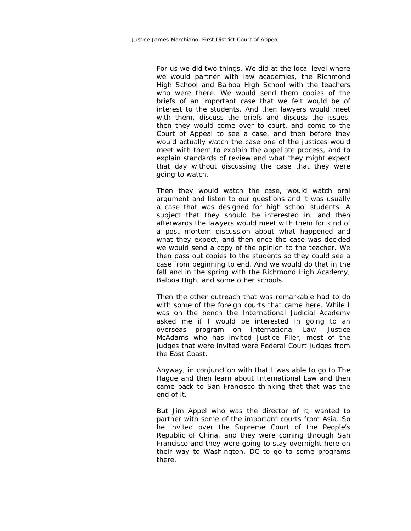For us we did two things. We did at the local level where we would partner with law academies, the Richmond High School and Balboa High School with the teachers who were there. We would send them copies of the briefs of an important case that we felt would be of interest to the students. And then lawyers would meet with them, discuss the briefs and discuss the issues, then they would come over to court, and come to the Court of Appeal to see a case, and then before they would actually watch the case one of the justices would meet with them to explain the appellate process, and to explain standards of review and what they might expect that day without discussing the case that they were going to watch.

Then they would watch the case, would watch oral argument and listen to our questions and it was usually a case that was designed for high school students. A subject that they should be interested in, and then afterwards the lawyers would meet with them for kind of a post mortem discussion about what happened and what they expect, and then once the case was decided we would send a copy of the opinion to the teacher. We then pass out copies to the students so they could see a case from beginning to end. And we would do that in the fall and in the spring with the Richmond High Academy, Balboa High, and some other schools.

Then the other outreach that was remarkable had to do with some of the foreign courts that came here. While I was on the bench the International Judicial Academy asked me if I would be interested in going to an overseas program on International Law. Justice McAdams who has invited Justice Flier, most of the judges that were invited were Federal Court judges from the East Coast.

Anyway, in conjunction with that I was able to go to The Hague and then learn about International Law and then came back to San Francisco thinking that that was the end of it.

But Jim Appel who was the director of it, wanted to partner with some of the important courts from Asia. So he invited over the Supreme Court of the People's Republic of China, and they were coming through San Francisco and they were going to stay overnight here on their way to Washington, DC to go to some programs there.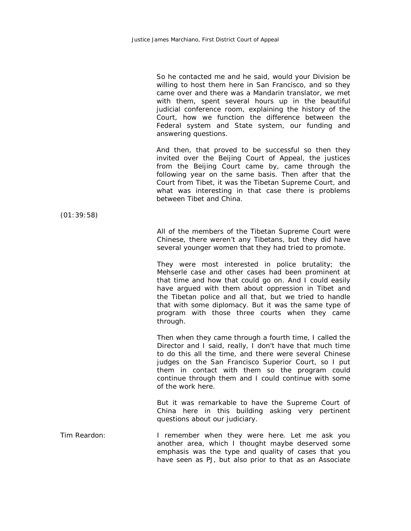So he contacted me and he said, would your Division be willing to host them here in San Francisco, and so they came over and there was a Mandarin translator, we met with them, spent several hours up in the beautiful judicial conference room, explaining the history of the Court, how we function the difference between the Federal system and State system, our funding and answering questions.

And then, that proved to be successful so then they invited over the Beijing Court of Appeal, the justices from the Beijing Court came by, came through the following year on the same basis. Then after that the Court from Tibet, it was the Tibetan Supreme Court, and what was interesting in that case there is problems between Tibet and China.

(01:39:58)

All of the members of the Tibetan Supreme Court were Chinese, there weren't any Tibetans, but they did have several younger women that they had tried to promote.

They were most interested in police brutality; the Mehserle case and other cases had been prominent at that time and how that could go on. And I could easily have argued with them about oppression in Tibet and the Tibetan police and all that, but we tried to handle that with some diplomacy. But it was the same type of program with those three courts when they came through.

Then when they came through a fourth time, I called the Director and I said, really, I don't have that much time to do this all the time, and there were several Chinese judges on the San Francisco Superior Court, so I put them in contact with them so the program could continue through them and I could continue with some of the work here.

But it was remarkable to have the Supreme Court of China here in this building asking very pertinent questions about our judiciary.

Tim Reardon: I remember when they were here. Let me ask you another area, which I thought maybe deserved some emphasis was the type and quality of cases that you have seen as PJ, but also prior to that as an Associate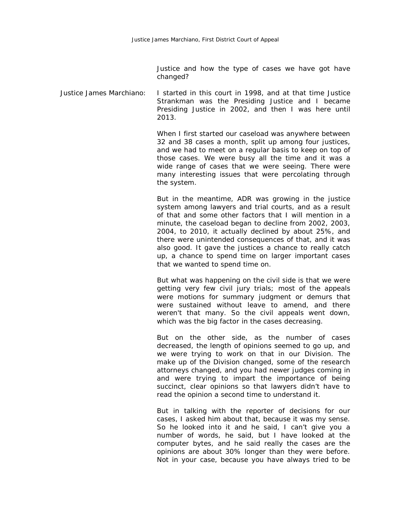Justice and how the type of cases we have got have changed?

Justice James Marchiano: I started in this court in 1998, and at that time Justice Strankman was the Presiding Justice and I became Presiding Justice in 2002, and then I was here until 2013.

> When I first started our caseload was anywhere between 32 and 38 cases a month, split up among four justices, and we had to meet on a regular basis to keep on top of those cases. We were busy all the time and it was a wide range of cases that we were seeing. There were many interesting issues that were percolating through the system.

> But in the meantime, ADR was growing in the justice system among lawyers and trial courts, and as a result of that and some other factors that I will mention in a minute, the caseload began to decline from 2002, 2003, 2004, to 2010, it actually declined by about 25%, and there were unintended consequences of that, and it was also good. It gave the justices a chance to really catch up, a chance to spend time on larger important cases that we wanted to spend time on.

> But what was happening on the civil side is that we were getting very few civil jury trials; most of the appeals were motions for summary judgment or demurs that were sustained without leave to amend, and there weren't that many. So the civil appeals went down, which was the big factor in the cases decreasing.

> But on the other side, as the number of cases decreased, the length of opinions seemed to go up, and we were trying to work on that in our Division. The make up of the Division changed, some of the research attorneys changed, and you had newer judges coming in and were trying to impart the importance of being succinct, clear opinions so that lawyers didn't have to read the opinion a second time to understand it.

> But in talking with the reporter of decisions for our cases, I asked him about that, because it was my sense. So he looked into it and he said, I can't give you a number of words, he said, but I have looked at the computer bytes, and he said really the cases are the opinions are about 30% longer than they were before. Not in your case, because you have always tried to be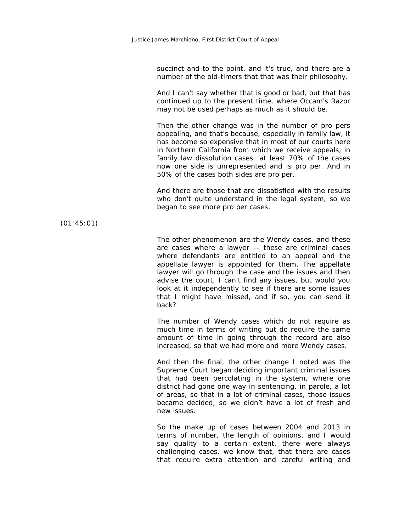succinct and to the point, and it's true, and there are a number of the old-timers that that was their philosophy.

And I can't say whether that is good or bad, but that has continued up to the present time, where Occam's Razor may not be used perhaps as much as it should be.

Then the other change was in the number of pro pers appealing, and that's because, especially in family law, it has become so expensive that in most of our courts here in Northern California from which we receive appeals, in family law dissolution cases at least 70% of the cases now one side is unrepresented and is pro per. And in 50% of the cases both sides are pro per.

And there are those that are dissatisfied with the results who don't quite understand in the legal system, so we began to see more pro per cases.

(01:45:01)

The other phenomenon are the Wendy cases, and these are cases where a lawyer -- these are criminal cases where defendants are entitled to an appeal and the appellate lawyer is appointed for them. The appellate lawyer will go through the case and the issues and then advise the court, I can't find any issues, but would you look at it independently to see if there are some issues that I might have missed, and if so, you can send it back?

The number of Wendy cases which do not require as much time in terms of writing but do require the same amount of time in going through the record are also increased, so that we had more and more Wendy cases.

And then the final, the other change I noted was the Supreme Court began deciding important criminal issues that had been percolating in the system, where one district had gone one way in sentencing, in parole, a lot of areas, so that in a lot of criminal cases, those issues became decided, so we didn't have a lot of fresh and new issues.

So the make up of cases between 2004 and 2013 in terms of number, the length of opinions, and I would say quality to a certain extent, there were always challenging cases, we know that, that there are cases that require extra attention and careful writing and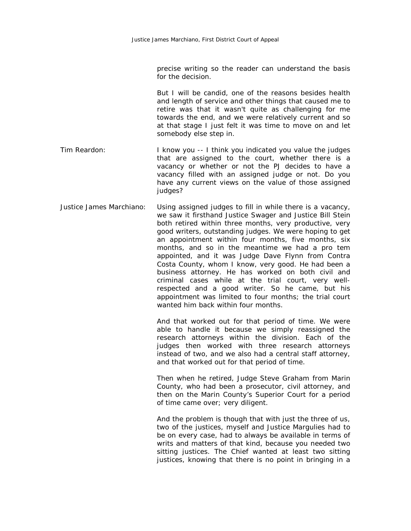precise writing so the reader can understand the basis for the decision.

But I will be candid, one of the reasons besides health and length of service and other things that caused me to retire was that it wasn't quite as challenging for me towards the end, and we were relatively current and so at that stage I just felt it was time to move on and let somebody else step in.

- Tim Reardon: I know you -- I think you indicated you value the judges that are assigned to the court, whether there is a vacancy or whether or not the PJ decides to have a vacancy filled with an assigned judge or not. Do you have any current views on the value of those assigned judges?
- Justice James Marchiano: Using assigned judges to fill in while there is a vacancy, we saw it firsthand Justice Swager and Justice Bill Stein both retired within three months, very productive, very good writers, outstanding judges. We were hoping to get an appointment within four months, five months, six months, and so in the meantime we had a pro tem appointed, and it was Judge Dave Flynn from Contra Costa County, whom I know, very good. He had been a business attorney. He has worked on both civil and criminal cases while at the trial court, very wellrespected and a good writer. So he came, but his appointment was limited to four months; the trial court wanted him back within four months.

And that worked out for that period of time. We were able to handle it because we simply reassigned the research attorneys within the division. Each of the judges then worked with three research attorneys instead of two, and we also had a central staff attorney, and that worked out for that period of time.

Then when he retired, Judge Steve Graham from Marin County, who had been a prosecutor, civil attorney, and then on the Marin County's Superior Court for a period of time came over; very diligent.

And the problem is though that with just the three of us, two of the justices, myself and Justice Margulies had to be on every case, had to always be available in terms of writs and matters of that kind, because you needed two sitting justices. The Chief wanted at least two sitting justices, knowing that there is no point in bringing in a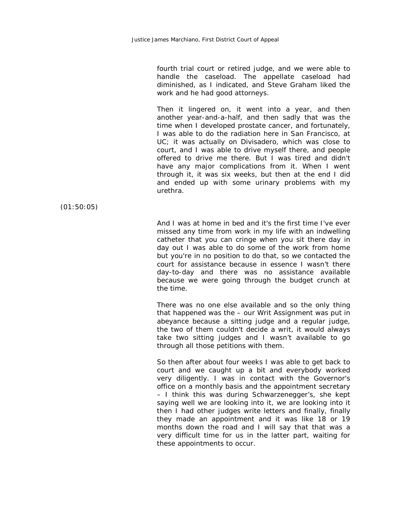fourth trial court or retired judge, and we were able to handle the caseload. The appellate caseload had diminished, as I indicated, and Steve Graham liked the work and he had good attorneys.

Then it lingered on, it went into a year, and then another year-and-a-half, and then sadly that was the time when I developed prostate cancer, and fortunately, I was able to do the radiation here in San Francisco, at UC; it was actually on Divisadero, which was close to court, and I was able to drive myself there, and people offered to drive me there. But I was tired and didn't have any major complications from it. When I went through it, it was six weeks, but then at the end I did and ended up with some urinary problems with my urethra.

(01:50:05)

And I was at home in bed and it's the first time I've ever missed any time from work in my life with an indwelling catheter that you can cringe when you sit there day in day out I was able to do some of the work from home but you're in no position to do that, so we contacted the court for assistance because in essence I wasn't there day-to-day and there was no assistance available because we were going through the budget crunch at the time.

There was no one else available and so the only thing that happened was the – our Writ Assignment was put in abeyance because a sitting judge and a regular judge, the two of them couldn't decide a writ, it would always take two sitting judges and I wasn't available to go through all those petitions with them.

So then after about four weeks I was able to get back to court and we caught up a bit and everybody worked very diligently. I was in contact with the Governor's office on a monthly basis and the appointment secretary – I think this was during Schwarzenegger's, she kept saying well we are looking into it, we are looking into it then I had other judges write letters and finally, finally they made an appointment and it was like 18 or 19 months down the road and I will say that that was a very difficult time for us in the latter part, waiting for these appointments to occur.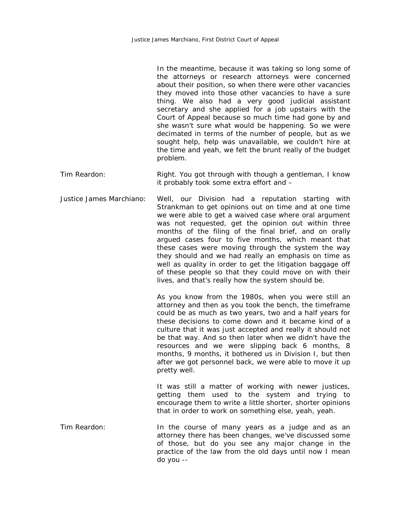|                          | In the meantime, because it was taking so long some of<br>the attorneys or research attorneys were concerned<br>about their position, so when there were other vacancies<br>they moved into those other vacancies to have a sure<br>thing. We also had a very good judicial assistant<br>secretary and she applied for a job upstairs with the<br>Court of Appeal because so much time had gone by and<br>she wasn't sure what would be happening. So we were<br>decimated in terms of the number of people, but as we<br>sought help, help was unavailable, we couldn't hire at<br>the time and yeah, we felt the brunt really of the budget<br>problem. |
|--------------------------|-----------------------------------------------------------------------------------------------------------------------------------------------------------------------------------------------------------------------------------------------------------------------------------------------------------------------------------------------------------------------------------------------------------------------------------------------------------------------------------------------------------------------------------------------------------------------------------------------------------------------------------------------------------|
| Tim Reardon:             | Right. You got through with though a gentleman, I know<br>it probably took some extra effort and -                                                                                                                                                                                                                                                                                                                                                                                                                                                                                                                                                        |
| Justice James Marchiano: | Well, our Division had a reputation starting with<br>Strankman to get opinions out on time and at one time<br>we were able to get a waived case where oral argument<br>was not requested, get the opinion out within three<br>months of the filing of the final brief, and on orally<br>argued cases four to five months, which meant that<br>these cases were moving through the system the way<br>they should and we had really an emphasis on time as<br>well as quality in order to get the litigation baggage off<br>of these people so that they could move on with their<br>lives, and that's really how the system should be.                     |
|                          | As you know from the 1980s, when you were still an<br>attorney and then as you took the bench, the timeframe<br>could be as much as two years, two and a half years for<br>these decisions to come down and it became kind of a<br>culture that it was just accepted and really it should not<br>be that way. And so then later when we didn't have the<br>resources and we were slipping back 6 months, 8<br>months, 9 months, it bothered us in Division I, but then<br>after we got personnel back, we were able to move it up<br>pretty well.                                                                                                         |
|                          | It was still a matter of working with newer justices,<br>getting them used to the system and trying<br>to<br>encourage them to write a little shorter, shorter opinions<br>that in order to work on something else, yeah, yeah.                                                                                                                                                                                                                                                                                                                                                                                                                           |
| Tim Reardon:             | In the course of many years as a judge and as an<br>attorney there has been changes, we've discussed some<br>of those, but do you see any major change in the<br>practice of the law from the old days until now I mean<br>do you --                                                                                                                                                                                                                                                                                                                                                                                                                      |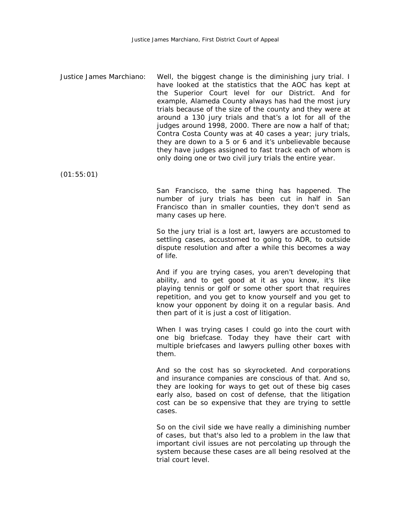Justice James Marchiano: Well, the biggest change is the diminishing jury trial. I have looked at the statistics that the AOC has kept at the Superior Court level for our District. And for example, Alameda County always has had the most jury trials because of the size of the county and they were at around a 130 jury trials and that's a lot for all of the judges around 1998, 2000. There are now a half of that; Contra Costa County was at 40 cases a year; jury trials, they are down to a 5 or 6 and it's unbelievable because they have judges assigned to fast track each of whom is only doing one or two civil jury trials the entire year.

(01:55:01)

San Francisco, the same thing has happened. The number of jury trials has been cut in half in San Francisco than in smaller counties, they don't send as many cases up here.

So the jury trial is a lost art, lawyers are accustomed to settling cases, accustomed to going to ADR, to outside dispute resolution and after a while this becomes a way of life.

And if you are trying cases, you aren't developing that ability, and to get good at it as you know, it's like playing tennis or golf or some other sport that requires repetition, and you get to know yourself and you get to know your opponent by doing it on a regular basis. And then part of it is just a cost of litigation.

When I was trying cases I could go into the court with one big briefcase. Today they have their cart with multiple briefcases and lawyers pulling other boxes with them.

And so the cost has so skyrocketed. And corporations and insurance companies are conscious of that. And so, they are looking for ways to get out of these big cases early also, based on cost of defense, that the litigation cost can be so expensive that they are trying to settle cases.

So on the civil side we have really a diminishing number of cases, but that's also led to a problem in the law that important civil issues are not percolating up through the system because these cases are all being resolved at the trial court level.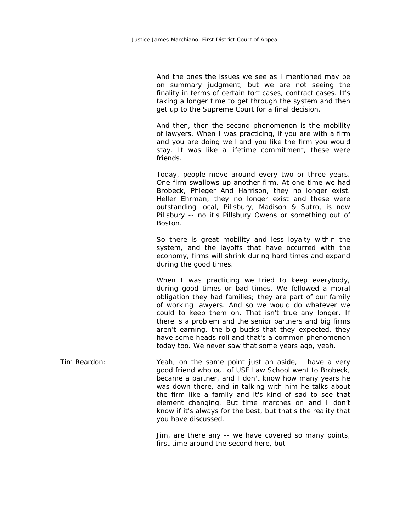And the ones the issues we see as I mentioned may be on summary judgment, but we are not seeing the finality in terms of certain tort cases, contract cases. It's taking a longer time to get through the system and then get up to the Supreme Court for a final decision.

And then, then the second phenomenon is the mobility of lawyers. When I was practicing, if you are with a firm and you are doing well and you like the firm you would stay. It was like a lifetime commitment, these were friends.

Today, people move around every two or three years. One firm swallows up another firm. At one-time we had Brobeck, Phleger And Harrison, they no longer exist. Heller Ehrman, they no longer exist and these were outstanding local, Pillsbury, Madison & Sutro, is now Pillsbury -- no it's Pillsbury Owens or something out of Boston.

So there is great mobility and less loyalty within the system, and the layoffs that have occurred with the economy, firms will shrink during hard times and expand during the good times.

When I was practicing we tried to keep everybody, during good times or bad times. We followed a moral obligation they had families; they are part of our family of working lawyers. And so we would do whatever we could to keep them on. That isn't true any longer. If there is a problem and the senior partners and big firms aren't earning, the big bucks that they expected, they have some heads roll and that's a common phenomenon today too. We never saw that some years ago, yeah.

Tim Reardon: Yeah, on the same point just an aside, I have a very good friend who out of USF Law School went to Brobeck, became a partner, and I don't know how many years he was down there, and in talking with him he talks about the firm like a family and it's kind of sad to see that element changing. But time marches on and I don't know if it's always for the best, but that's the reality that you have discussed.

> Jim, are there any -- we have covered so many points, first time around the second here, but --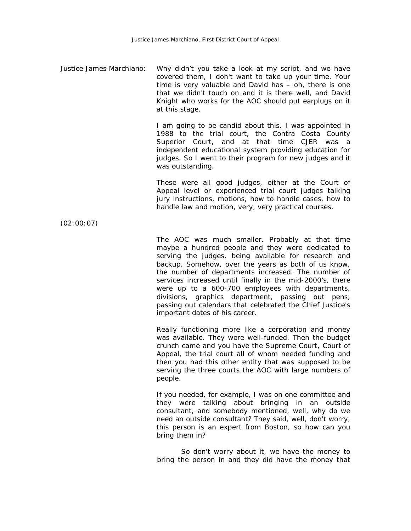Justice James Marchiano: Why didn't you take a look at my script, and we have covered them, I don't want to take up your time. Your time is very valuable and David has – oh, there is one that we didn't touch on and it is there well, and David Knight who works for the AOC should put earplugs on it at this stage.

> I am going to be candid about this. I was appointed in 1988 to the trial court, the Contra Costa County Superior Court, and at that time CJER was a independent educational system providing education for judges. So I went to their program for new judges and it was outstanding.

> These were all good judges, either at the Court of Appeal level or experienced trial court judges talking jury instructions, motions, how to handle cases, how to handle law and motion, very, very practical courses.

(02:00:07)

The AOC was much smaller. Probably at that time maybe a hundred people and they were dedicated to serving the judges, being available for research and backup. Somehow, over the years as both of us know, the number of departments increased. The number of services increased until finally in the mid-2000's, there were up to a 600-700 employees with departments, divisions, graphics department, passing out pens, passing out calendars that celebrated the Chief Justice's important dates of his career.

Really functioning more like a corporation and money was available. They were well-funded. Then the budget crunch came and you have the Supreme Court, Court of Appeal, the trial court all of whom needed funding and then you had this other entity that was supposed to be serving the three courts the AOC with large numbers of people.

If you needed, for example, I was on one committee and they were talking about bringing in an outside consultant, and somebody mentioned, well, why do we need an outside consultant? They said, well, don't worry, this person is an expert from Boston, so how can you bring them in?

So don't worry about it, we have the money to bring the person in and they did have the money that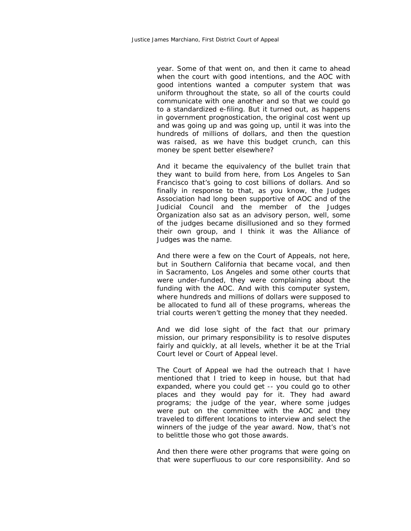year. Some of that went on, and then it came to ahead when the court with good intentions, and the AOC with good intentions wanted a computer system that was uniform throughout the state, so all of the courts could communicate with one another and so that we could go to a standardized e-filing. But it turned out, as happens in government prognostication, the original cost went up and was going up and was going up, until it was into the hundreds of millions of dollars, and then the question was raised, as we have this budget crunch, can this money be spent better elsewhere?

And it became the equivalency of the bullet train that they want to build from here, from Los Angeles to San Francisco that's going to cost billions of dollars. And so finally in response to that, as you know, the Judges Association had long been supportive of AOC and of the Judicial Council and the member of the Judges Organization also sat as an advisory person, well, some of the judges became disillusioned and so they formed their own group, and I think it was the Alliance of Judges was the name.

And there were a few on the Court of Appeals, not here, but in Southern California that became vocal, and then in Sacramento, Los Angeles and some other courts that were under-funded, they were complaining about the funding with the AOC. And with this computer system, where hundreds and millions of dollars were supposed to be allocated to fund all of these programs, whereas the trial courts weren't getting the money that they needed.

And we did lose sight of the fact that our primary mission, our primary responsibility is to resolve disputes fairly and quickly, at all levels, whether it be at the Trial Court level or Court of Appeal level.

The Court of Appeal we had the outreach that I have mentioned that I tried to keep in house, but that had expanded, where you could get -- you could go to other places and they would pay for it. They had award programs; the judge of the year, where some judges were put on the committee with the AOC and they traveled to different locations to interview and select the winners of the judge of the year award. Now, that's not to belittle those who got those awards.

And then there were other programs that were going on that were superfluous to our core responsibility. And so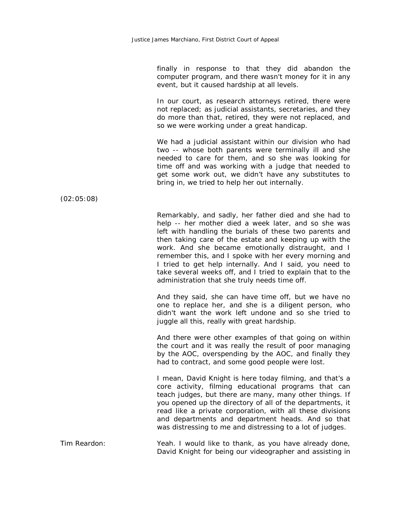finally in response to that they did abandon the computer program, and there wasn't money for it in any event, but it caused hardship at all levels.

In our court, as research attorneys retired, there were not replaced; as judicial assistants, secretaries, and they do more than that, retired, they were not replaced, and so we were working under a great handicap.

We had a judicial assistant within our division who had two -- whose both parents were terminally ill and she needed to care for them, and so she was looking for time off and was working with a judge that needed to get some work out, we didn't have any substitutes to bring in, we tried to help her out internally.

(02:05:08)

Remarkably, and sadly, her father died and she had to help -- her mother died a week later, and so she was left with handling the burials of these two parents and then taking care of the estate and keeping up with the work. And she became emotionally distraught, and I remember this, and I spoke with her every morning and I tried to get help internally. And I said, you need to take several weeks off, and I tried to explain that to the administration that she truly needs time off.

And they said, she can have time off, but we have no one to replace her, and she is a diligent person, who didn't want the work left undone and so she tried to juggle all this, really with great hardship.

And there were other examples of that going on within the court and it was really the result of poor managing by the AOC, overspending by the AOC, and finally they had to contract, and some good people were lost.

I mean, David Knight is here today filming, and that's a core activity, filming educational programs that can teach judges, but there are many, many other things. If you opened up the directory of all of the departments, it read like a private corporation, with all these divisions and departments and department heads. And so that was distressing to me and distressing to a lot of judges.

Tim Reardon: Yeah. I would like to thank, as you have already done, David Knight for being our videographer and assisting in